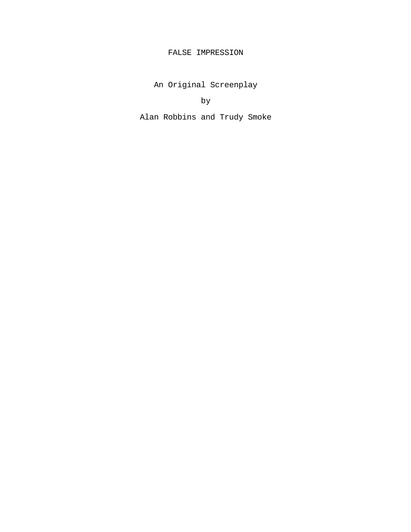# FALSE IMPRESSION

An Original Screenplay

by

Alan Robbins and Trudy Smoke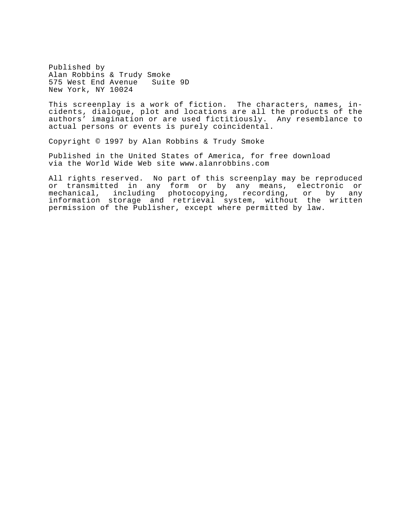Published by Alan Robbins & Trudy Smoke 575 West End Avenue Suite 9D New York, NY 10024

This screenplay is a work of fiction. The characters, names, incidents, dialogue, plot and locations are all the products of the authors' imagination or are used fictitiously. Any resemblance to actual persons or events is purely coincidental.

Copyright © 1997 by Alan Robbins & Trudy Smoke

Published in the United States of America, for free download via the World Wide Web site www.alanrobbins.com

All rights reserved. No part of this screenplay may be reproduced or transmitted in any form or by any means, electronic or mechanical, including photocopying, recording, or by any information storage and retrieval system, without the written permission of the Publisher, except where permitted by law.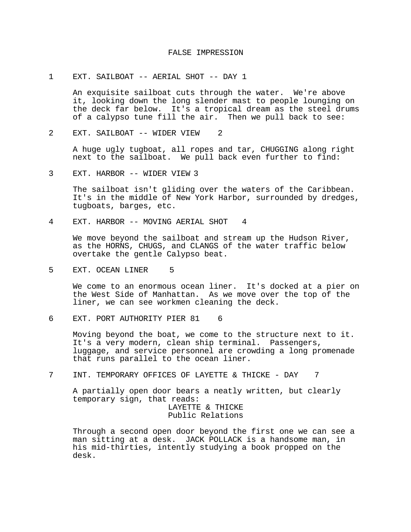### FALSE IMPRESSION

### 1 EXT. SAILBOAT -- AERIAL SHOT -- DAY 1

An exquisite sailboat cuts through the water. We're above it, looking down the long slender mast to people lounging on the deck far below. It's a tropical dream as the steel drums of a calypso tune fill the air. Then we pull back to see:

2 EXT. SAILBOAT -- WIDER VIEW 2

A huge ugly tugboat, all ropes and tar, CHUGGING along right next to the sailboat. We pull back even further to find:

3 EXT. HARBOR -- WIDER VIEW 3

The sailboat isn't gliding over the waters of the Caribbean. It's in the middle of New York Harbor, surrounded by dredges, tugboats, barges, etc.

4 EXT. HARBOR -- MOVING AERIAL SHOT 4

We move beyond the sailboat and stream up the Hudson River, as the HORNS, CHUGS, and CLANGS of the water traffic below overtake the gentle Calypso beat.

5 EXT. OCEAN LINER 5

We come to an enormous ocean liner. It's docked at a pier on the West Side of Manhattan. As we move over the top of the liner, we can see workmen cleaning the deck.

6 EXT. PORT AUTHORITY PIER 81 6

Moving beyond the boat, we come to the structure next to it. It's a very modern, clean ship terminal. Passengers, luggage, and service personnel are crowding a long promenade that runs parallel to the ocean liner.

7 INT. TEMPORARY OFFICES OF LAYETTE & THICKE - DAY 7

A partially open door bears a neatly written, but clearly temporary sign, that reads: LAYETTE & THICKE

Public Relations

Through a second open door beyond the first one we can see a man sitting at a desk. JACK POLLACK is a handsome man, in his mid-thirties, intently studying a book propped on the desk.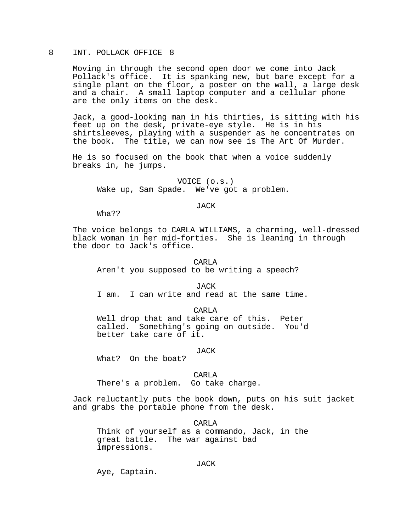# 8 INT. POLLACK OFFICE 8

Moving in through the second open door we come into Jack Pollack's office. It is spanking new, but bare except for a single plant on the floor, a poster on the wall, a large desk and a chair. A small laptop computer and a cellular phone are the only items on the desk.

Jack, a good-looking man in his thirties, is sitting with his feet up on the desk, private-eye style. He is in his shirtsleeves, playing with a suspender as he concentrates on the book. The title, we can now see is The Art Of Murder.

He is so focused on the book that when a voice suddenly breaks in, he jumps.

VOICE (o.s.) Wake up, Sam Spade. We've got a problem.

#### JACK

Wha??

The voice belongs to CARLA WILLIAMS, a charming, well-dressed black woman in her mid-forties. She is leaning in through the door to Jack's office.

CARLA Aren't you supposed to be writing a speech?

**JACK** 

I am. I can write and read at the same time.

CARLA

Well drop that and take care of this. Peter called. Something's going on outside. You'd better take care of it.

#### JACK

What? On the boat?

CARL<sub>A</sub>

There's a problem. Go take charge.

Jack reluctantly puts the book down, puts on his suit jacket and grabs the portable phone from the desk.

CARLA Think of yourself as a commando, Jack, in the great battle. The war against bad impressions.

# JACK

Aye, Captain.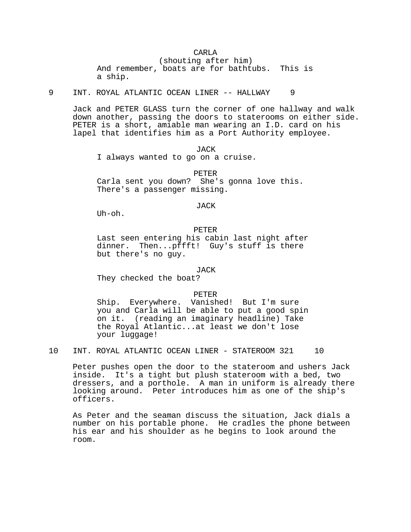# CARLA

(shouting after him) And remember, boats are for bathtubs. This is a ship.

9 INT. ROYAL ATLANTIC OCEAN LINER -- HALLWAY 9

Jack and PETER GLASS turn the corner of one hallway and walk down another, passing the doors to staterooms on either side. PETER is a short, amiable man wearing an I.D. card on his lapel that identifies him as a Port Authority employee.

JACK

I always wanted to go on a cruise.

PETER Carla sent you down? She's gonna love this. There's a passenger missing.

JACK

Uh-oh.

### PETER

Last seen entering his cabin last night after dinner. Then...pffft! Guy's stuff is there but there's no guy.

# JACK

They checked the boat?

PETER

Ship. Everywhere. Vanished! But I'm sure you and Carla will be able to put a good spin on it. (reading an imaginary headline) Take the Royal Atlantic...at least we don't lose your luggage!

10 INT. ROYAL ATLANTIC OCEAN LINER - STATEROOM 321 10

Peter pushes open the door to the stateroom and ushers Jack inside. It's a tight but plush stateroom with a bed, two dressers, and a porthole. A man in uniform is already there looking around. Peter introduces him as one of the ship's officers.

As Peter and the seaman discuss the situation, Jack dials a number on his portable phone. He cradles the phone between his ear and his shoulder as he begins to look around the room.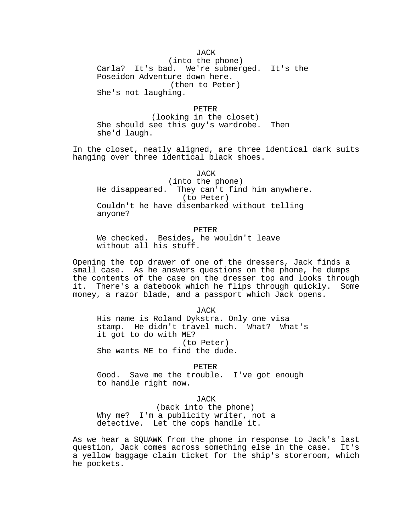# JACK

(into the phone) Carla? It's bad. We're submerged. It's the Poseidon Adventure down here. (then to Peter) She's not laughing.

PETER

(looking in the closet) She should see this guy's wardrobe. Then she'd laugh.

In the closet, neatly aligned, are three identical dark suits hanging over three identical black shoes.

JACK

(into the phone) He disappeared. They can't find him anywhere. (to Peter) Couldn't he have disembarked without telling anyone?

PETER We checked. Besides, he wouldn't leave without all his stuff.

Opening the top drawer of one of the dressers, Jack finds a small case. As he answers questions on the phone, he dumps the contents of the case on the dresser top and looks through it. There's a datebook which he flips through quickly. Some money, a razor blade, and a passport which Jack opens.

JACK His name is Roland Dykstra. Only one visa stamp. He didn't travel much. What? What's it got to do with ME? (to Peter) She wants ME to find the dude.

PETER Good. Save me the trouble. I've got enough to handle right now.

JACK

(back into the phone) Why me? I'm a publicity writer, not a detective. Let the cops handle it.

As we hear a SQUAWK from the phone in response to Jack's last question, Jack comes across something else in the case. It's a yellow baggage claim ticket for the ship's storeroom, which he pockets.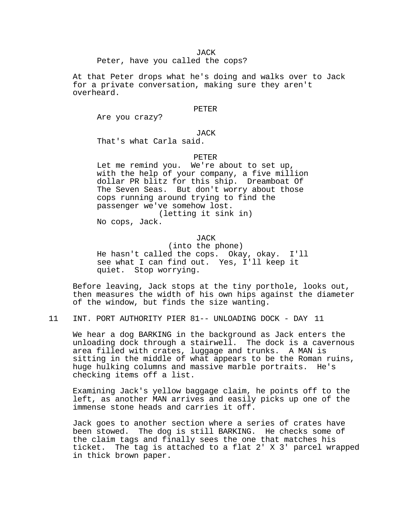Peter, have you called the cops?

At that Peter drops what he's doing and walks over to Jack for a private conversation, making sure they aren't overheard.

### PETER

Are you crazy?

# JACK

That's what Carla said.

### PETER

Let me remind you. We're about to set up, with the help of your company, a five million dollar PR blitz for this ship. Dreamboat Of The Seven Seas. But don't worry about those cops running around trying to find the passenger we've somehow lost. (letting it sink in)

No cops, Jack.

### **JACK**

(into the phone) He hasn't called the cops. Okay, okay. I'll see what I can find out. Yes, I'll keep it quiet. Stop worrying.

Before leaving, Jack stops at the tiny porthole, looks out, then measures the width of his own hips against the diameter of the window, but finds the size wanting.

11 INT. PORT AUTHORITY PIER 81-- UNLOADING DOCK - DAY 11

We hear a dog BARKING in the background as Jack enters the unloading dock through a stairwell. The dock is a cavernous area filled with crates, luggage and trunks. A MAN is sitting in the middle of what appears to be the Roman ruins, huge hulking columns and massive marble portraits. He's checking items off a list.

Examining Jack's yellow baggage claim, he points off to the left, as another MAN arrives and easily picks up one of the immense stone heads and carries it off.

Jack goes to another section where a series of crates have been stowed. The dog is still BARKING. He checks some of the claim tags and finally sees the one that matches his ticket. The tag is attached to a flat 2' X 3' parcel wrapped in thick brown paper.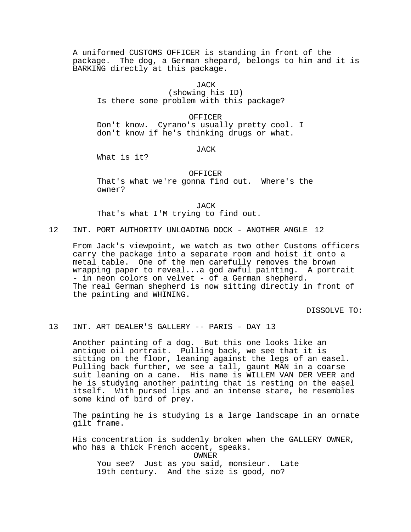A uniformed CUSTOMS OFFICER is standing in front of the package. The dog, a German shepard, belongs to him and it is BARKING directly at this package.

JACK

(showing his ID) Is there some problem with this package?

OFFICER

Don't know. Cyrano's usually pretty cool. I don't know if he's thinking drugs or what.

JACK

What is it?

## OFFICER

That's what we're gonna find out. Where's the owner?

JACK

That's what I'M trying to find out.

12 INT. PORT AUTHORITY UNLOADING DOCK - ANOTHER ANGLE 12

From Jack's viewpoint, we watch as two other Customs officers carry the package into a separate room and hoist it onto a metal table. One of the men carefully removes the brown wrapping paper to reveal...a god awful painting. A portrait - in neon colors on velvet - of a German shepherd. The real German shepherd is now sitting directly in front of the painting and WHINING.

DISSOLVE TO:

# 13 INT. ART DEALER'S GALLERY -- PARIS - DAY 13

Another painting of a dog. But this one looks like an antique oil portrait. Pulling back, we see that it is sitting on the floor, leaning against the legs of an easel. Pulling back further, we see a tall, gaunt MAN in a coarse suit leaning on a cane. His name is WILLEM VAN DER VEER and he is studying another painting that is resting on the easel itself. With pursed lips and an intense stare, he resembles some kind of bird of prey.

The painting he is studying is a large landscape in an ornate gilt frame.

His concentration is suddenly broken when the GALLERY OWNER, who has a thick French accent, speaks.

OWNER

You see? Just as you said, monsieur. Late 19th century. And the size is good, no?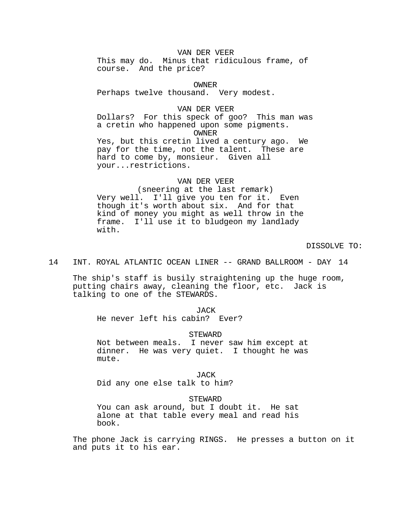# VAN DER VEER

This may do. Minus that ridiculous frame, of course. And the price?

OWNER Perhaps twelve thousand. Very modest.

#### VAN DER VEER

Dollars? For this speck of goo? This man was a cretin who happened upon some pigments. OWNER Yes, but this cretin lived a century ago. We pay for the time, not the talent. These are hard to come by, monsieur. Given all

your...restrictions.

## VAN DER VEER

(sneering at the last remark) Very well. I'll give you ten for it. Even though it's worth about six. And for that kind of money you might as well throw in the frame. I'll use it to bludgeon my landlady with.

DISSOLVE TO:

# 14 INT. ROYAL ATLANTIC OCEAN LINER -- GRAND BALLROOM - DAY 14

The ship's staff is busily straightening up the huge room, putting chairs away, cleaning the floor, etc. Jack is talking to one of the STEWARDS.

#### JACK

He never left his cabin? Ever?

#### STEWARD

Not between meals. I never saw him except at dinner. He was very quiet. I thought he was mute.

JACK

Did any one else talk to him?

# **STEWARD**

You can ask around, but I doubt it. He sat alone at that table every meal and read his book.

The phone Jack is carrying RINGS. He presses a button on it and puts it to his ear.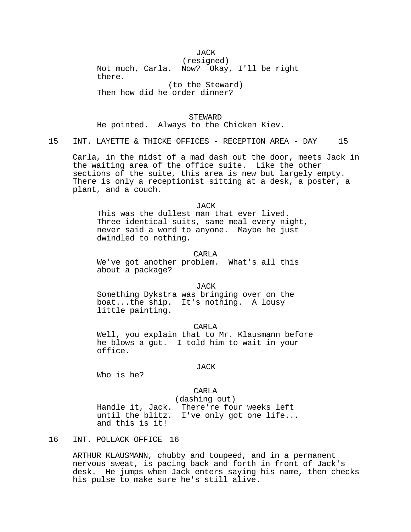# JACK

(resigned) Not much, Carla. Now? Okay, I'll be right there. (to the Steward)

Then how did he order dinner?

**STEWARD** He pointed. Always to the Chicken Kiev.

15 INT. LAYETTE & THICKE OFFICES - RECEPTION AREA - DAY 15

Carla, in the midst of a mad dash out the door, meets Jack in the waiting area of the office suite. Like the other sections of the suite, this area is new but largely empty. There is only a receptionist sitting at a desk, a poster, a plant, and a couch.

#### JACK

This was the dullest man that ever lived. Three identical suits, same meal every night, never said a word to anyone. Maybe he just dwindled to nothing.

# CARL<sub>A</sub>

We've got another problem. What's all this about a package?

#### **JACK**

Something Dykstra was bringing over on the boat...the ship. It's nothing. A lousy little painting.

CARLA Well, you explain that to Mr. Klausmann before he blows a gut. I told him to wait in your office.

#### JACK

Who is he?

# CARLA

(dashing out)

Handle it, Jack. There're four weeks left until the blitz. I've only got one life... and this is it!

# 16 INT. POLLACK OFFICE 16

ARTHUR KLAUSMANN, chubby and toupeed, and in a permanent nervous sweat, is pacing back and forth in front of Jack's desk. He jumps when Jack enters saying his name, then checks his pulse to make sure he's still alive.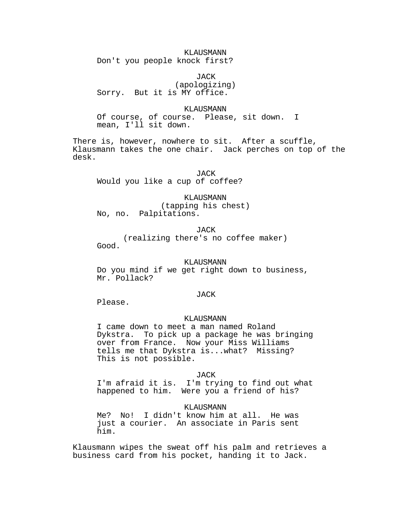KLAUSMANN Don't you people knock first?

JACK (apologizing) Sorry. But it is MY office.

#### KLAUSMANN

Of course, of course. Please, sit down. I mean, I'll sit down.

There is, however, nowhere to sit. After a scuffle, Klausmann takes the one chair. Jack perches on top of the desk.

JACK Would you like a cup of coffee?

KLAUSMANN (tapping his chest) No, no. Palpitations.

JACK

(realizing there's no coffee maker) Good.

#### KLAUSMANN

Do you mind if we get right down to business, Mr. Pollack?

### JACK

Please.

# KLAUSMANN

I came down to meet a man named Roland Dykstra. To pick up a package he was bringing over from France. Now your Miss Williams tells me that Dykstra is...what? Missing? This is not possible.

### JACK

I'm afraid it is. I'm trying to find out what happened to him. Were you a friend of his?

### KLAUSMANN

Me? No! I didn't know him at all. He was just a courier. An associate in Paris sent him.

Klausmann wipes the sweat off his palm and retrieves a business card from his pocket, handing it to Jack.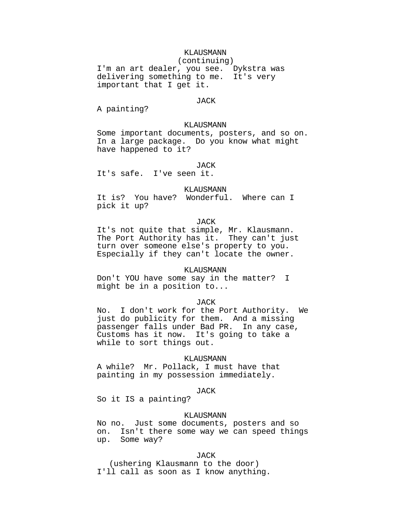# KLAUSMANN (continuing) I'm an art dealer, you see. Dykstra was delivering something to me. It's very important that I get it.

### JACK

A painting?

# KLAUSMANN

Some important documents, posters, and so on. In a large package. Do you know what might have happened to it?

#### **JACK**

It's safe. I've seen it.

#### KLAUSMANN

It is? You have? Wonderful. Where can I pick it up?

# JACK

It's not quite that simple, Mr. Klausmann. The Port Authority has it. They can't just turn over someone else's property to you. Especially if they can't locate the owner.

# KLAUSMANN

Don't YOU have some say in the matter? I might be in a position to...

# JACK

No. I don't work for the Port Authority. We just do publicity for them. And a missing passenger falls under Bad PR. In any case, Customs has it now. It's going to take a while to sort things out.

### KLAUSMANN

A while? Mr. Pollack, I must have that painting in my possession immediately.

#### JACK

So it IS a painting?

# KLAUSMANN

No no. Just some documents, posters and so on. Isn't there some way we can speed things up. Some way?

### JACK

(ushering Klausmann to the door) I'll call as soon as I know anything.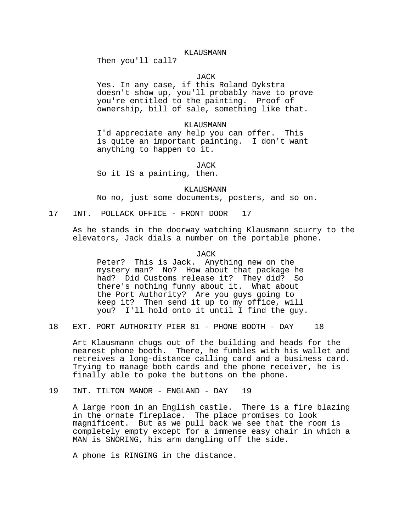### KLAUSMANN

Then you'll call?

# **JACK**

Yes. In any case, if this Roland Dykstra doesn't show up, you'll probably have to prove you're entitled to the painting. Proof of ownership, bill of sale, something like that.

### KLAUSMANN

I'd appreciate any help you can offer. This is quite an important painting. I don't want anything to happen to it.

**JACK** 

So it IS a painting, then.

KLAUSMANN No no, just some documents, posters, and so on.

17 INT. POLLACK OFFICE - FRONT DOOR 17

As he stands in the doorway watching Klausmann scurry to the elevators, Jack dials a number on the portable phone.

JACK

Peter? This is Jack. Anything new on the mystery man? No? How about that package he had? Did Customs release it? They did? So there's nothing funny about it. What about the Port Authority? Are you guys going to keep it? Then send it up to my office, will you? I'll hold onto it until I find the guy.

18 EXT. PORT AUTHORITY PIER 81 - PHONE BOOTH - DAY 18

Art Klausmann chugs out of the building and heads for the nearest phone booth. There, he fumbles with his wallet and retreives a long-distance calling card and a business card. Trying to manage both cards and the phone receiver, he is finally able to poke the buttons on the phone.

19 INT. TILTON MANOR - ENGLAND - DAY 19

A large room in an English castle. There is a fire blazing in the ornate fireplace. The place promises to look magnificent. But as we pull back we see that the room is completely empty except for a immense easy chair in which a MAN is SNORING, his arm dangling off the side.

A phone is RINGING in the distance.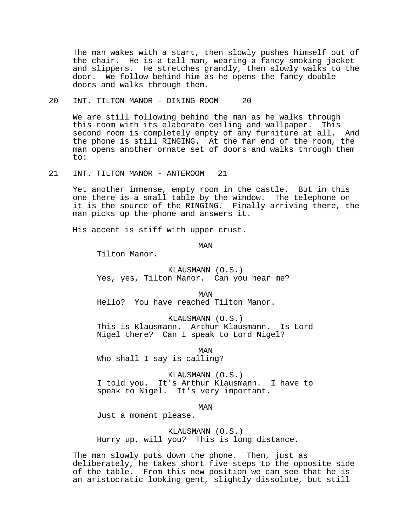The man wakes with a start, then slowly pushes himself out of the chair. He is a tall man, wearing a fancy smoking jacket and slippers. He stretches grandly, then slowly walks to the door. We follow behind him as he opens the fancy double doors and walks through them.

20 INT. TILTON MANOR - DINING ROOM 20

We are still following behind the man as he walks through this room with its elaborate ceiling and wallpaper. This second room is completely empty of any furniture at all. And the phone is still RINGING. At the far end of the room, the man opens another ornate set of doors and walks through them to:

21 INT. TILTON MANOR - ANTEROOM 21

Yet another immense, empty room in the castle. But in this one there is a small table by the window. The telephone on it is the source of the RINGING. Finally arriving there, the man picks up the phone and answers it.

His accent is stiff with upper crust.

MAN

Tilton Manor.

KLAUSMANN (O.S.) Yes, yes, Tilton Manor. Can you hear me?

MAN Hello? You have reached Tilton Manor.

KLAUSMANN (O.S.) This is Klausmann. Arthur Klausmann. Is Lord Nigel there? Can I speak to Lord Nigel?

MAN Who shall I say is calling?

KLAUSMANN (O.S.) I told you. It's Arthur Klausmann. I have to speak to Nigel. It's very important.

MAN

Just a moment please.

KLAUSMANN (O.S.) Hurry up, will you? This is long distance.

The man slowly puts down the phone. Then, just as deliberately, he takes short five steps to the opposite side of the table. From this new position we can see that he is an aristocratic looking gent, slightly dissolute, but still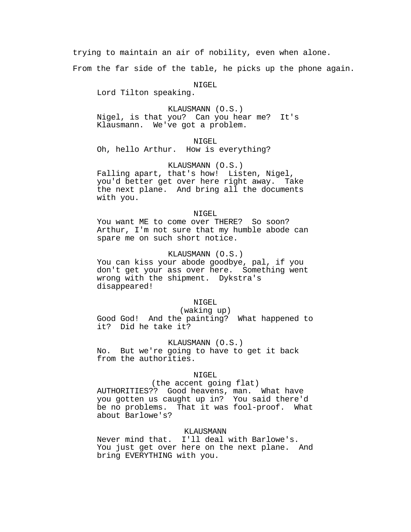trying to maintain an air of nobility, even when alone.

From the far side of the table, he picks up the phone again.

NIGEL

Lord Tilton speaking.

KLAUSMANN (O.S.) Nigel, is that you? Can you hear me? It's Klausmann. We've got a problem.

NIGEL Oh, hello Arthur. How is everything?

# KLAUSMANN (O.S.)

Falling apart, that's how! Listen, Nigel, you'd better get over here right away. Take the next plane. And bring all the documents with you.

# NIGEL

You want ME to come over THERE? So soon? Arthur, I'm not sure that my humble abode can spare me on such short notice.

# KLAUSMANN (O.S.)

You can kiss your abode goodbye, pal, if you don't get your ass over here. Something went wrong with the shipment. Dykstra's disappeared!

### NIGEL

### (waking up)

Good God! And the painting? What happened to it? Did he take it?

# KLAUSMANN (O.S.)

No. But we're going to have to get it back from the authorities.

#### NIGEL.

(the accent going flat) AUTHORITIES?? Good heavens, man. What have you gotten us caught up in? You said there'd be no problems. That it was fool-proof. What about Barlowe's?

# KLAUSMANN

Never mind that. I'll deal with Barlowe's. You just get over here on the next plane. And bring EVERYTHING with you.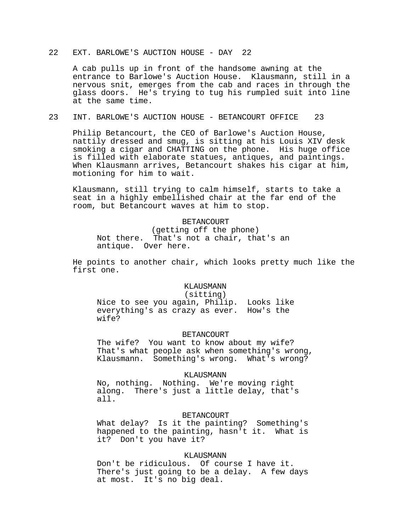# 22 EXT. BARLOWE'S AUCTION HOUSE - DAY 22

A cab pulls up in front of the handsome awning at the entrance to Barlowe's Auction House. Klausmann, still in a nervous snit, emerges from the cab and races in through the glass doors. He's trying to tug his rumpled suit into line at the same time.

# 23 INT. BARLOWE'S AUCTION HOUSE - BETANCOURT OFFICE 23

Philip Betancourt, the CEO of Barlowe's Auction House, nattily dressed and smug, is sitting at his Louis XIV desk smoking a cigar and CHATTING on the phone. His huge office is filled with elaborate statues, antiques, and paintings. When Klausmann arrives, Betancourt shakes his cigar at him, motioning for him to wait.

Klausmann, still trying to calm himself, starts to take a seat in a highly embellished chair at the far end of the room, but Betancourt waves at him to stop.

### BETANCOURT

(getting off the phone) Not there. That's not a chair, that's an antique. Over here.

He points to another chair, which looks pretty much like the first one.

#### KLAUSMANN

#### (sitting)

Nice to see you again, Philip. Looks like everything's as crazy as ever. How's the wife?

#### BETANCOURT

The wife? You want to know about my wife? That's what people ask when something's wrong, Klausmann. Something's wrong. What's wrong?

#### KLAUSMANN

No, nothing. Nothing. We're moving right There's just a little delay, that's all.

#### **BETANCOURT**

What delay? Is it the painting? Something's happened to the painting, hasn't it. What is it? Don't you have it?

### KLAUSMANN

Don't be ridiculous. Of course I have it. There's just going to be a delay. A few days at most. It's no big deal.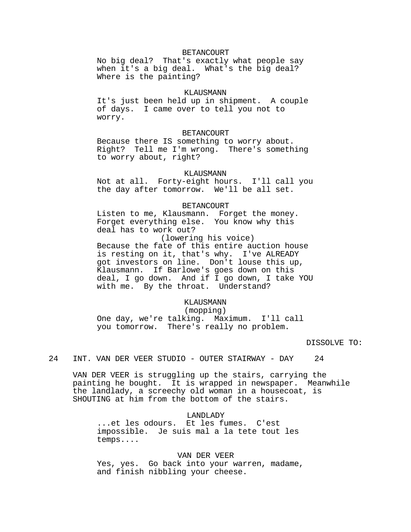# BETANCOURT

No big deal? That's exactly what people say when it's a big deal. What's the big deal? Where is the painting?

## KLAUSMANN

It's just been held up in shipment. A couple of days. I came over to tell you not to worry.

#### BETANCOURT

Because there IS something to worry about. Right? Tell me I'm wrong. There's something to worry about, right?

### KLAUSMANN

Not at all. Forty-eight hours. I'll call you the day after tomorrow. We'll be all set.

#### BETANCOURT

Listen to me, Klausmann. Forget the money. Forget everything else. You know why this deal has to work out?

 (lowering his voice) Because the fate of this entire auction house is resting on it, that's why. I've ALREADY got investors on line. Don't louse this up, Klausmann. If Barlowe's goes down on this deal, I go down. And if I go down, I take YOU with me. By the throat. Understand?

# KLAUSMANN

# (mopping)

One day, we're talking. Maximum. I'll call you tomorrow. There's really no problem.

# DISSOLVE TO:

24 INT. VAN DER VEER STUDIO - OUTER STAIRWAY - DAY 24

VAN DER VEER is struggling up the stairs, carrying the painting he bought. It is wrapped in newspaper. Meanwhile the landlady, a screechy old woman in a housecoat, is SHOUTING at him from the bottom of the stairs.

LANDLADY ...et les odours. Et les fumes. C'est impossible. Je suis mal a la tete tout les temps....

VAN DER VEER Yes, yes. Go back into your warren, madame, and finish nibbling your cheese.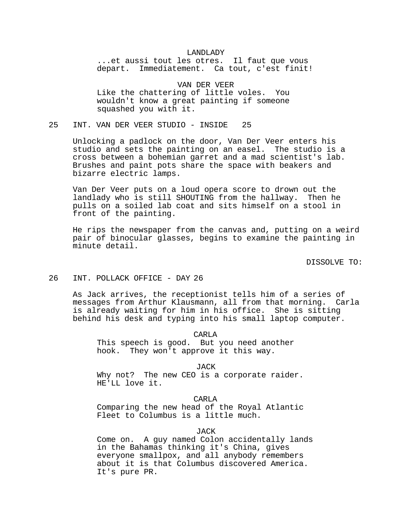#### LANDLADY

...et aussi tout les otres. Il faut que vous depart. Immediatement. Ca tout, c'est finit!

VAN DER VEER Like the chattering of little voles. You wouldn't know a great painting if someone squashed you with it.

# 25 INT. VAN DER VEER STUDIO - INSIDE 25

Unlocking a padlock on the door, Van Der Veer enters his studio and sets the painting on an easel. The studio is a cross between a bohemian garret and a mad scientist's lab. Brushes and paint pots share the space with beakers and bizarre electric lamps.

Van Der Veer puts on a loud opera score to drown out the landlady who is still SHOUTING from the hallway. Then he pulls on a soiled lab coat and sits himself on a stool in front of the painting.

He rips the newspaper from the canvas and, putting on a weird pair of binocular glasses, begins to examine the painting in minute detail.

DISSOLVE TO:

#### 26 INT. POLLACK OFFICE - DAY 26

As Jack arrives, the receptionist tells him of a series of messages from Arthur Klausmann, all from that morning. Carla is already waiting for him in his office. She is sitting behind his desk and typing into his small laptop computer.

CARLA

This speech is good. But you need another hook. They won't approve it this way.

JACK

Why not? The new CEO is a corporate raider. HE'LL love it.

CARLA

Comparing the new head of the Royal Atlantic Fleet to Columbus is a little much.

**JACK** 

Come on. A guy named Colon accidentally lands in the Bahamas thinking it's China, gives everyone smallpox, and all anybody remembers about it is that Columbus discovered America. It's pure PR.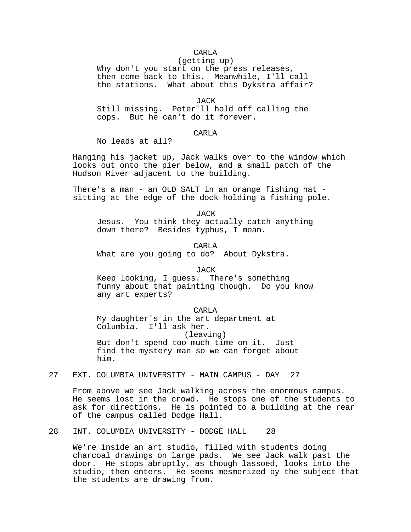# CARLA

(getting up) Why don't you start on the press releases, then come back to this. Meanwhile, I'll call the stations. What about this Dykstra affair?

JACK

Still missing. Peter'll hold off calling the cops. But he can't do it forever.

# CARLA

No leads at all?

Hanging his jacket up, Jack walks over to the window which looks out onto the pier below, and a small patch of the Hudson River adjacent to the building.

There's a man - an OLD SALT in an orange fishing hat sitting at the edge of the dock holding a fishing pole.

JACK Jesus. You think they actually catch anything down there? Besides typhus, I mean.

CARLA What are you going to do? About Dykstra.

### JACK

Keep looking, I guess. There's something funny about that painting though. Do you know any art experts?

CARLA

My daughter's in the art department at Columbia. I'll ask her. (leaving) But don't spend too much time on it. Just find the mystery man so we can forget about him.

27 EXT. COLUMBIA UNIVERSITY - MAIN CAMPUS - DAY 27

From above we see Jack walking across the enormous campus. He seems lost in the crowd. He stops one of the students to ask for directions. He is pointed to a building at the rear of the campus called Dodge Hall.

28 INT. COLUMBIA UNIVERSITY - DODGE HALL 28

We're inside an art studio, filled with students doing charcoal drawings on large pads. We see Jack walk past the door. He stops abruptly, as though lassoed, looks into the studio, then enters. He seems mesmerized by the subject that the students are drawing from.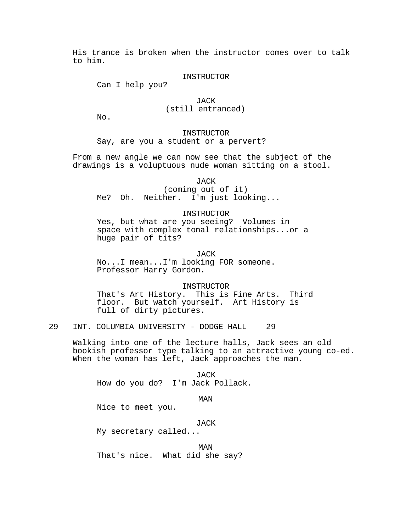His trance is broken when the instructor comes over to talk to him.

#### INSTRUCTOR

Can I help you?

# JACK (still entranced)

No.

**INSTRUCTOR** Say, are you a student or a pervert?

From a new angle we can now see that the subject of the drawings is a voluptuous nude woman sitting on a stool.

JACK

(coming out of it) Me? Oh. Neither. I'm just looking...

# INSTRUCTOR

Yes, but what are you seeing? Volumes in space with complex tonal relationships...or a huge pair of tits?

JACK

No...I mean...I'm looking FOR someone. Professor Harry Gordon.

#### INSTRUCTOR

That's Art History. This is Fine Arts. Third floor. But watch yourself. Art History is full of dirty pictures.

29 INT. COLUMBIA UNIVERSITY - DODGE HALL 29

Walking into one of the lecture halls, Jack sees an old bookish professor type talking to an attractive young co-ed. When the woman has left, Jack approaches the man.

**JACK** How do you do? I'm Jack Pollack.

# MAN

Nice to meet you.

JACK

My secretary called...

MAN That's nice. What did she say?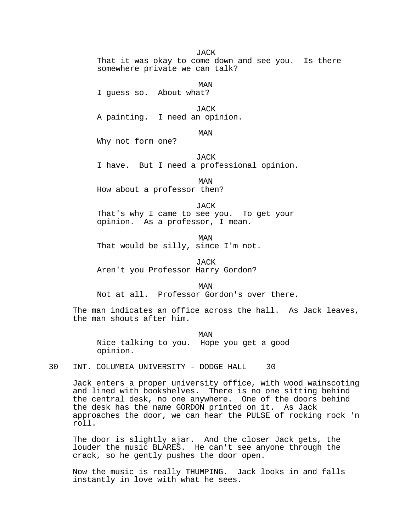**JACK** 

That it was okay to come down and see you. Is there somewhere private we can talk?

MAN I guess so. About what?

**JACK** A painting. I need an opinion.

MAN

Why not form one?

**JACK** I have. But I need a professional opinion.

MAN How about a professor then?

JACK That's why I came to see you. To get your opinion. As a professor, I mean.

MAN That would be silly, since I'm not.

**JACK** Aren't you Professor Harry Gordon?

MAN

Not at all. Professor Gordon's over there.

The man indicates an office across the hall. As Jack leaves, the man shouts after him.

MAN Nice talking to you. Hope you get a good opinion.

30 INT. COLUMBIA UNIVERSITY - DODGE HALL 30

Jack enters a proper university office, with wood wainscoting and lined with bookshelves. There is no one sitting behind the central desk, no one anywhere. One of the doors behind the desk has the name GORDON printed on it. As Jack approaches the door, we can hear the PULSE of rocking rock 'n roll.

The door is slightly ajar. And the closer Jack gets, the louder the music BLARES. He can't see anyone through the crack, so he gently pushes the door open.

Now the music is really THUMPING. Jack looks in and falls instantly in love with what he sees.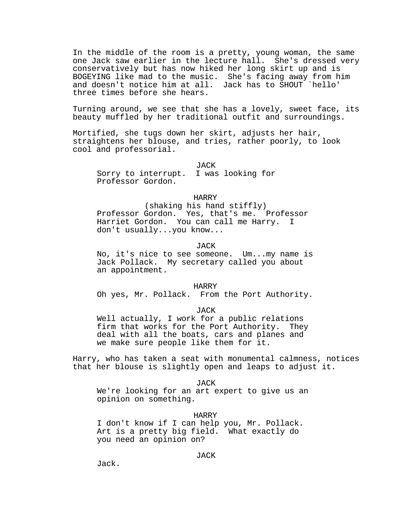In the middle of the room is a pretty, young woman, the same one Jack saw earlier in the lecture hall. She's dressed very conservatively but has now hiked her long skirt up and is BOGEYING like mad to the music. She's facing away from him and doesn't notice him at all. Jack has to SHOUT `hello' three times before she hears.

Turning around, we see that she has a lovely, sweet face, its beauty muffled by her traditional outfit and surroundings.

Mortified, she tugs down her skirt, adjusts her hair, straightens her blouse, and tries, rather poorly, to look cool and professorial.

JACK Sorry to interrupt. I was looking for Professor Gordon.

HARRY

(shaking his hand stiffly) Professor Gordon. Yes, that's me. Professor Harriet Gordon. You can call me Harry. I don't usually...you know...

JACK

No, it's nice to see someone. Um...my name is Jack Pollack. My secretary called you about an appointment.

HARRY

Oh yes, Mr. Pollack. From the Port Authority.

JACK

Well actually, I work for a public relations firm that works for the Port Authority. They deal with all the boats, cars and planes and we make sure people like them for it.

Harry, who has taken a seat with monumental calmness, notices that her blouse is slightly open and leaps to adjust it.

JACK

We're looking for an art expert to give us an opinion on something.

HARRY I don't know if I can help you, Mr. Pollack. Art is a pretty big field. What exactly do you need an opinion on?

JACK

Jack.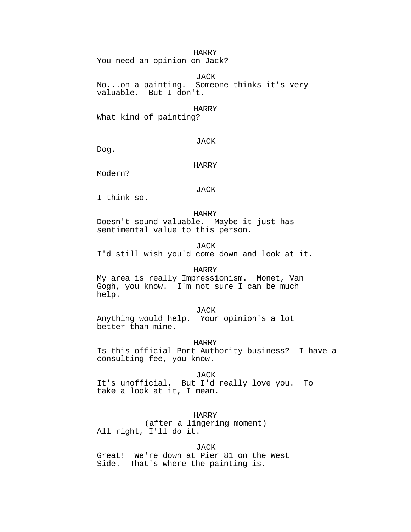### HARRY

You need an opinion on Jack?

JACK No...on a painting. Someone thinks it's very valuable. But I don't.

#### HARRY

What kind of painting?

# JACK

Dog.

# HARRY

Modern?

#### JACK

I think so.

HARRY Doesn't sound valuable. Maybe it just has sentimental value to this person.

### JACK

I'd still wish you'd come down and look at it.

# HARRY

My area is really Impressionism. Monet, Van Gogh, you know. I'm not sure I can be much help.

# JACK

Anything would help. Your opinion's a lot better than mine.

#### HARRY

Is this official Port Authority business? I have a consulting fee, you know.

JACK It's unofficial. But I'd really love you. To take a look at it, I mean.

# HARRY

(after a lingering moment) All right, I'll do it.

# JACK

Great! We're down at Pier 81 on the West Side. That's where the painting is.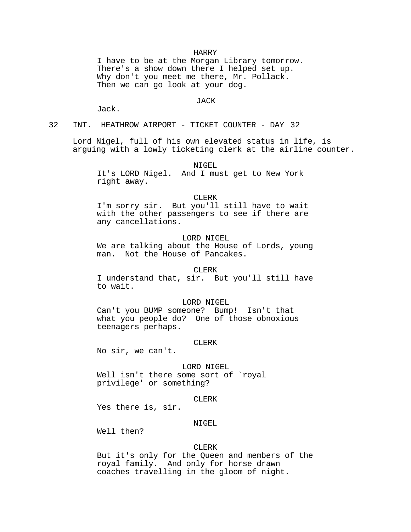#### HARRY

I have to be at the Morgan Library tomorrow. There's a show down there I helped set up. Why don't you meet me there, Mr. Pollack. Then we can go look at your dog.

### JACK

Jack.

32 INT. HEATHROW AIRPORT - TICKET COUNTER - DAY 32

Lord Nigel, full of his own elevated status in life, is arguing with a lowly ticketing clerk at the airline counter.

NIGEL

It's LORD Nigel. And I must get to New York right away.

CLERK

I'm sorry sir. But you'll still have to wait with the other passengers to see if there are any cancellations.

### LORD NIGEL

We are talking about the House of Lords, young man. Not the House of Pancakes.

# CLERK

I understand that, sir. But you'll still have to wait.

#### LORD NIGEL

Can't you BUMP someone? Bump! Isn't that what you people do? One of those obnoxious teenagers perhaps.

# CLERK

No sir, we can't.

LORD NIGEL Well isn't there some sort of `royal privilege' or something?

CLERK

Yes there is, sir.

# NIGEL

Well then?

# CLERK

But it's only for the Queen and members of the royal family. And only for horse drawn coaches travelling in the gloom of night.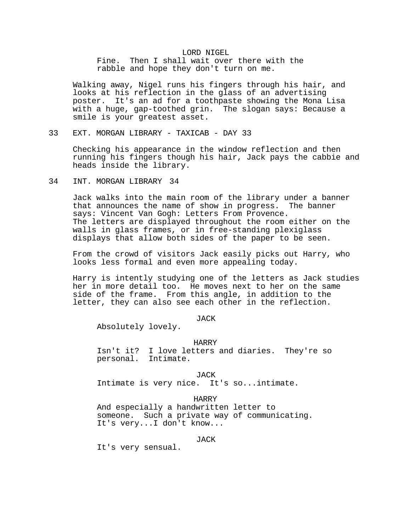# LORD NIGEL Fine. Then I shall wait over there with the rabble and hope they don't turn on me.

Walking away, Nigel runs his fingers through his hair, and looks at his reflection in the glass of an advertising poster. It's an ad for a toothpaste showing the Mona Lisa with a huge, gap-toothed grin. The slogan says: Because a smile is your greatest asset.

33 EXT. MORGAN LIBRARY - TAXICAB - DAY 33

Checking his appearance in the window reflection and then running his fingers though his hair, Jack pays the cabbie and heads inside the library.

# 34 INT. MORGAN LIBRARY 34

Jack walks into the main room of the library under a banner that announces the name of show in progress. The banner says: Vincent Van Gogh: Letters From Provence. The letters are displayed throughout the room either on the walls in glass frames, or in free-standing plexiglass displays that allow both sides of the paper to be seen.

From the crowd of visitors Jack easily picks out Harry, who looks less formal and even more appealing today.

Harry is intently studying one of the letters as Jack studies her in more detail too. He moves next to her on the same side of the frame. From this angle, in addition to the letter, they can also see each other in the reflection.

JACK

Absolutely lovely.

# HARRY

Isn't it? I love letters and diaries. They're so personal. Intimate.

JACK

Intimate is very nice. It's so...intimate.

HARRY

And especially a handwritten letter to someone. Such a private way of communicating. It's very...I don't know...

JACK

It's very sensual.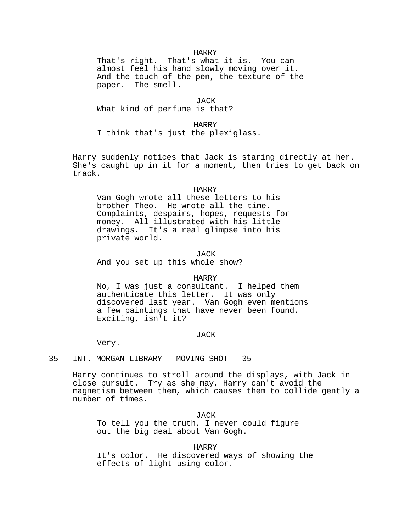### HARRY

That's right. That's what it is. You can almost feel his hand slowly moving over it. And the touch of the pen, the texture of the paper. The smell.

### JACK

What kind of perfume is that?

# HARRY

I think that's just the plexiglass.

Harry suddenly notices that Jack is staring directly at her. She's caught up in it for a moment, then tries to get back on track.

### HARRY

Van Gogh wrote all these letters to his brother Theo. He wrote all the time. Complaints, despairs, hopes, requests for money. All illustrated with his little drawings. It's a real glimpse into his private world.

JACK

And you set up this whole show?

#### HARRY

No, I was just a consultant. I helped them authenticate this letter. It was only discovered last year. Van Gogh even mentions a few paintings that have never been found. Exciting, isn't it?

#### JACK

Very.

# 35 INT. MORGAN LIBRARY - MOVING SHOT 35

Harry continues to stroll around the displays, with Jack in close pursuit. Try as she may, Harry can't avoid the magnetism between them, which causes them to collide gently a number of times.

JACK To tell you the truth, I never could figure out the big deal about Van Gogh.

# HARRY

It's color. He discovered ways of showing the effects of light using color.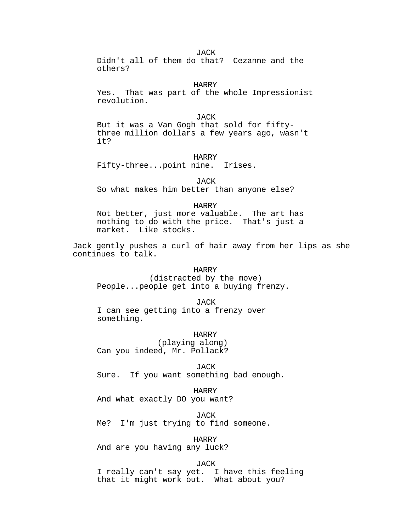**JACK** 

Didn't all of them do that? Cezanne and the others?

HARRY

Yes. That was part of the whole Impressionist revolution.

JACK

But it was a Van Gogh that sold for fiftythree million dollars a few years ago, wasn't it?

HARRY

Fifty-three...point nine. Irises.

JACK So what makes him better than anyone else?

HARRY Not better, just more valuable. The art has nothing to do with the price. That's just a market. Like stocks.

Jack gently pushes a curl of hair away from her lips as she continues to talk.

HARRY (distracted by the move) People...people get into a buying frenzy.

JACK I can see getting into a frenzy over something.

HARRY (playing along) Can you indeed, Mr. Pollack?

JACK Sure. If you want something bad enough.

HARRY

And what exactly DO you want?

JACK

Me? I'm just trying to find someone.

HARRY

And are you having any luck?

JACK

I really can't say yet. I have this feeling that it might work out. What about you?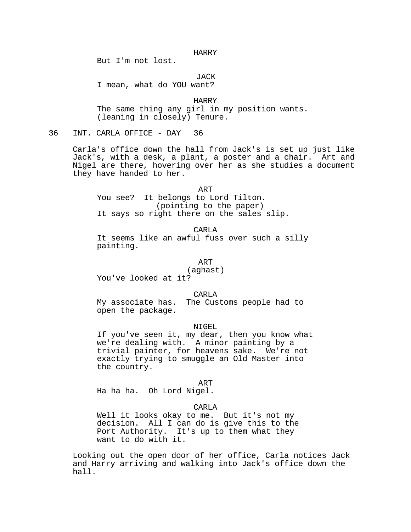HARRY

But I'm not lost.

JACK

I mean, what do YOU want?

HARRY The same thing any girl in my position wants. (leaning in closely) Tenure.

36 INT. CARLA OFFICE - DAY 36

Carla's office down the hall from Jack's is set up just like Jack's, with a desk, a plant, a poster and a chair. Art and Nigel are there, hovering over her as she studies a document they have handed to her.

ART You see? It belongs to Lord Tilton. (pointing to the paper) It says so right there on the sales slip.

CARLA

It seems like an awful fuss over such a silly painting.

ART

(aghast)

You've looked at it?

CARLA

My associate has. The Customs people had to open the package.

# NIGEL.

If you've seen it, my dear, then you know what we're dealing with. A minor painting by a trivial painter, for heavens sake. We're not exactly trying to smuggle an Old Master into the country.

ART

Ha ha ha. Oh Lord Nigel.

#### CARLA

Well it looks okay to me. But it's not my decision. All I can do is give this to the Port Authority. It's up to them what they want to do with it.

Looking out the open door of her office, Carla notices Jack and Harry arriving and walking into Jack's office down the hall.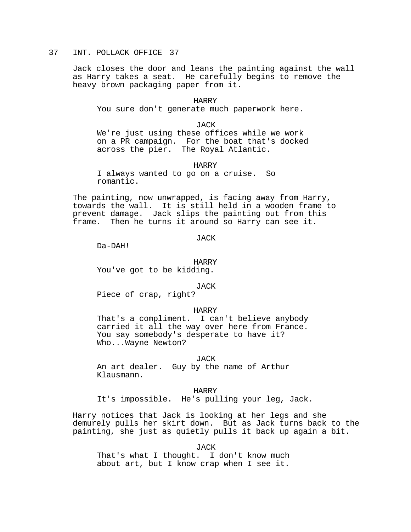# 37 INT. POLLACK OFFICE 37

Jack closes the door and leans the painting against the wall as Harry takes a seat. He carefully begins to remove the heavy brown packaging paper from it.

HARRY You sure don't generate much paperwork here.

JACK We're just using these offices while we work on a PR campaign. For the boat that's docked across the pier. The Royal Atlantic.

#### HARRY

I always wanted to go on a cruise. So romantic.

The painting, now unwrapped, is facing away from Harry, towards the wall. It is still held in a wooden frame to prevent damage. Jack slips the painting out from this frame. Then he turns it around so Harry can see it.

JACK

Da-DAH!

### HARRY

You've got to be kidding.

#### JACK

Piece of crap, right?

#### HARRY

That's a compliment. I can't believe anybody carried it all the way over here from France. You say somebody's desperate to have it? Who...Wayne Newton?

# JACK

An art dealer. Guy by the name of Arthur Klausmann.

#### HARRY

It's impossible. He's pulling your leg, Jack.

Harry notices that Jack is looking at her legs and she demurely pulls her skirt down. But as Jack turns back to the painting, she just as quietly pulls it back up again a bit.

JACK

That's what I thought. I don't know much about art, but I know crap when I see it.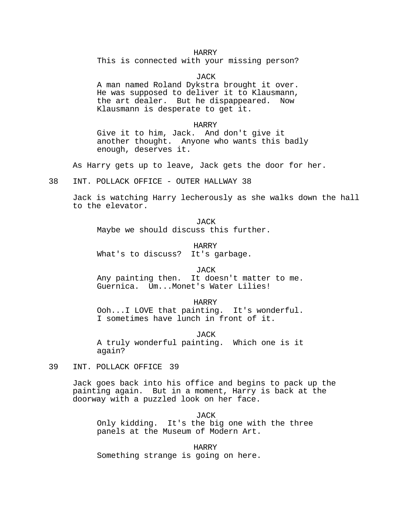# HARRY

This is connected with your missing person?

**JACK** 

A man named Roland Dykstra brought it over. He was supposed to deliver it to Klausmann, the art dealer. But he dispappeared. Now Klausmann is desperate to get it.

#### HARRY

Give it to him, Jack. And don't give it another thought. Anyone who wants this badly enough, deserves it.

As Harry gets up to leave, Jack gets the door for her.

38 INT. POLLACK OFFICE - OUTER HALLWAY 38

Jack is watching Harry lecherously as she walks down the hall to the elevator.

JACK Maybe we should discuss this further.

HARRY<br>It's garbage. What's to discuss?

# JACK

Any painting then. It doesn't matter to me. Guernica. Um...Monet's Water Lilies!

HARRY Ooh...I LOVE that painting. It's wonderful. I sometimes have lunch in front of it.

JACK

A truly wonderful painting. Which one is it again?

39 INT. POLLACK OFFICE 39

Jack goes back into his office and begins to pack up the painting again. But in a moment, Harry is back at the doorway with a puzzled look on her face.

JACK Only kidding. It's the big one with the three panels at the Museum of Modern Art.

HARRY Something strange is going on here.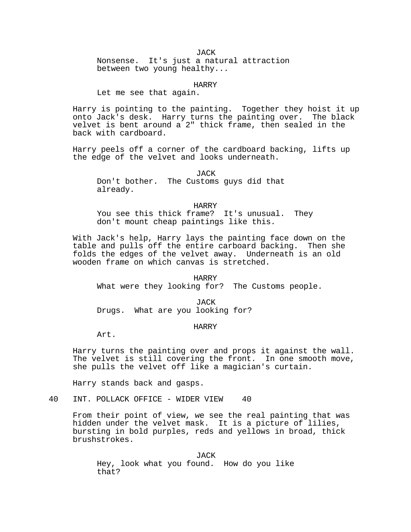**JACK** Nonsense. It's just a natural attraction between two young healthy...

HARRY

Let me see that again.

Harry is pointing to the painting. Together they hoist it up onto Jack's desk. Harry turns the painting over. The black velvet is bent around a 2" thick frame, then sealed in the back with cardboard.

Harry peels off a corner of the cardboard backing, lifts up the edge of the velvet and looks underneath.

JACK Don't bother. The Customs guys did that already.

HARRY You see this thick frame? It's unusual. They don't mount cheap paintings like this.

With Jack's help, Harry lays the painting face down on the table and pulls off the entire carboard backing. Then she folds the edges of the velvet away. Underneath is an old wooden frame on which canvas is stretched.

HARRY What were they looking for? The Customs people.

JACK Drugs. What are you looking for?

# HARRY

Art.

Harry turns the painting over and props it against the wall. The velvet is still covering the front. In one smooth move, she pulls the velvet off like a magician's curtain.

Harry stands back and gasps.

40 INT. POLLACK OFFICE - WIDER VIEW 40

From their point of view, we see the real painting that was hidden under the velvet mask. It is a picture of lilies, bursting in bold purples, reds and yellows in broad, thick brushstrokes.

**JACK** Hey, look what you found. How do you like that?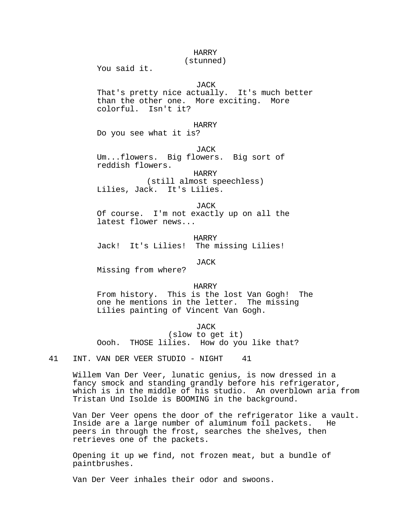# HARRY

#### (stunned)

You said it.

### JACK

That's pretty nice actually. It's much better than the other one. More exciting. More colorful. Isn't it?

# HARRY

Do you see what it is?

#### JACK

Um...flowers. Big flowers. Big sort of reddish flowers.

HARRY

(still almost speechless) Lilies, Jack. It's Lilies.

#### JACK

Of course. I'm not exactly up on all the latest flower news...

HARRY Jack! It's Lilies! The missing Lilies!

JACK

Missing from where?

### HARRY

From history. This is the lost Van Gogh! The one he mentions in the letter. The missing Lilies painting of Vincent Van Gogh.

# JACK

(slow to get it) Oooh. THOSE lilies. How do you like that?

41 INT. VAN DER VEER STUDIO - NIGHT 41

Willem Van Der Veer, lunatic genius, is now dressed in a fancy smock and standing grandly before his refrigerator, which is in the middle of his studio. An overblown aria from Tristan Und Isolde is BOOMING in the background.

Van Der Veer opens the door of the refrigerator like a vault. Inside are a large number of aluminum foil packets. He peers in through the frost, searches the shelves, then retrieves one of the packets.

Opening it up we find, not frozen meat, but a bundle of paintbrushes.

Van Der Veer inhales their odor and swoons.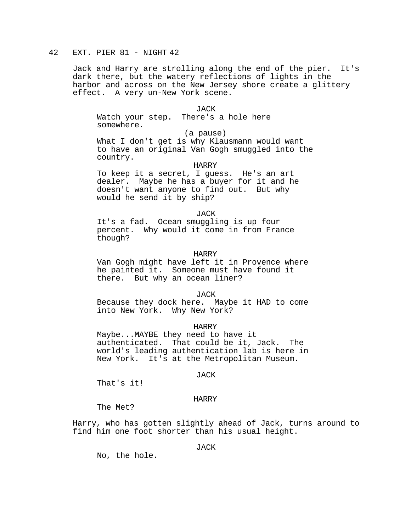# 42 EXT. PIER 81 - NIGHT 42

Jack and Harry are strolling along the end of the pier. It's dark there, but the watery reflections of lights in the harbor and across on the New Jersey shore create a glittery effect. A very un-New York scene.

JACK

Watch your step. There's a hole here somewhere.

(a pause)

What I don't get is why Klausmann would want to have an original Van Gogh smuggled into the country.

HARRY

To keep it a secret, I guess. He's an art dealer. Maybe he has a buyer for it and he doesn't want anyone to find out. But why would he send it by ship?

**JACK** 

It's a fad. Ocean smuggling is up four percent. Why would it come in from France though?

### HARRY

Van Gogh might have left it in Provence where he painted it. Someone must have found it there. But why an ocean liner?

JACK

Because they dock here. Maybe it HAD to come into New York. Why New York?

HARRY

Maybe...MAYBE they need to have it authenticated. That could be it, Jack. The world's leading authentication lab is here in New York. It's at the Metropolitan Museum.

# JACK

That's it!

# HARRY

The Met?

Harry, who has gotten slightly ahead of Jack, turns around to find him one foot shorter than his usual height.

# JACK

No, the hole.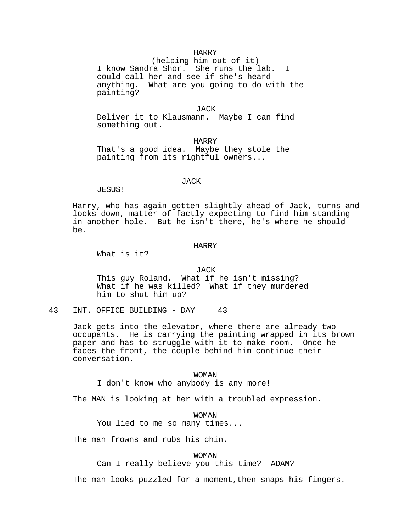### HARRY

(helping him out of it) I know Sandra Shor. She runs the lab. I could call her and see if she's heard anything. What are you going to do with the painting?

**JACK** 

Deliver it to Klausmann. Maybe I can find something out.

HARRY That's a good idea. Maybe they stole the painting from its rightful owners...

# JACK

JESUS!

Harry, who has again gotten slightly ahead of Jack, turns and looks down, matter-of-factly expecting to find him standing in another hole. But he isn't there, he's where he should be.

### HARRY

What is it?

#### JACK

This guy Roland. What if he isn't missing? What if he was killed? What if they murdered him to shut him up?

43 INT. OFFICE BUILDING - DAY 43

Jack gets into the elevator, where there are already two occupants. He is carrying the painting wrapped in its brown paper and has to struggle with it to make room. Once he faces the front, the couple behind him continue their conversation.

#### WOMAN

I don't know who anybody is any more!

The MAN is looking at her with a troubled expression.

WOMAN

You lied to me so many times...

The man frowns and rubs his chin.

WOMAN

Can I really believe you this time? ADAM?

The man looks puzzled for a moment, then snaps his fingers.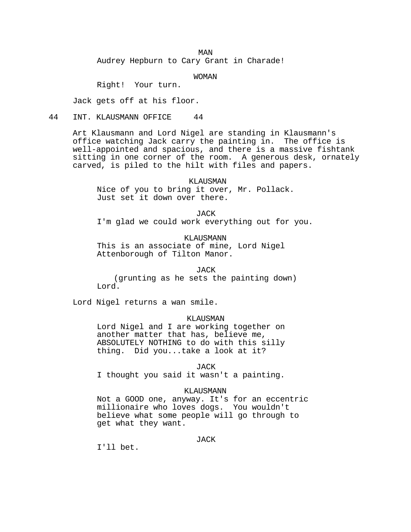MAN

Audrey Hepburn to Cary Grant in Charade!

WOMAN

Right! Your turn.

Jack gets off at his floor.

44 INT. KLAUSMANN OFFICE 44

Art Klausmann and Lord Nigel are standing in Klausmann's office watching Jack carry the painting in. The office is well-appointed and spacious, and there is a massive fishtank sitting in one corner of the room. A generous desk, ornately carved, is piled to the hilt with files and papers.

 KLAUSMAN Nice of you to bring it over, Mr. Pollack. Just set it down over there.

JACK

I'm glad we could work everything out for you.

KLAUSMANN This is an associate of mine, Lord Nigel Attenborough of Tilton Manor.

JACK

(grunting as he sets the painting down) Lord.

Lord Nigel returns a wan smile.

# KLAUSMAN

Lord Nigel and I are working together on another matter that has, believe me, ABSOLUTELY NOTHING to do with this silly thing. Did you...take a look at it?

JACK

I thought you said it wasn't a painting.

# KLAUSMANN

Not a GOOD one, anyway. It's for an eccentric millionaire who loves dogs. You wouldn't believe what some people will go through to get what they want.

JACK

I'll bet.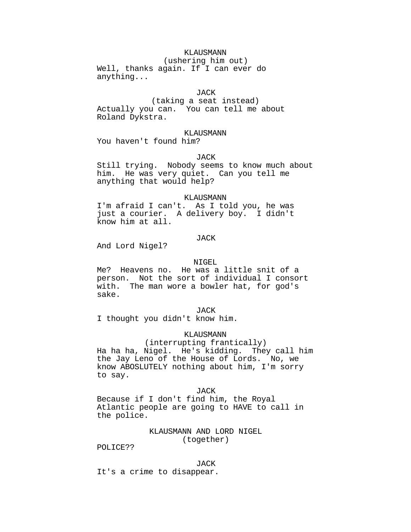# KLAUSMANN

(ushering him out) Well, thanks again. If I can ever do anything...

### JACK

(taking a seat instead) Actually you can. You can tell me about Roland Dykstra.

# KLAUSMANN

You haven't found him?

### JACK

Still trying. Nobody seems to know much about him. He was very quiet. Can you tell me anything that would help?

# KLAUSMANN

I'm afraid I can't. As I told you, he was just a courier. A delivery boy. I didn't know him at all.

### JACK

And Lord Nigel?

#### NIGEL

Me? Heavens no. He was a little snit of a person. Not the sort of individual I consort with. The man wore a bowler hat, for god's sake.

#### JACK

I thought you didn't know him.

#### KLAUSMANN

(interrupting frantically) Ha ha ha, Nigel. He's kidding. They call him the Jay Leno of the House of Lords. No, we know ABOSLUTELY nothing about him, I'm sorry to say.

### JACK

Because if I don't find him, the Royal Atlantic people are going to HAVE to call in the police.

# KLAUSMANN AND LORD NIGEL (together)

POLICE??

#### JACK

It's a crime to disappear.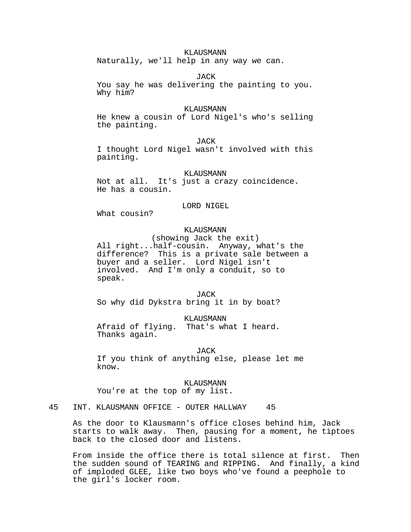# KLAUSMANN

Naturally, we'll help in any way we can.

JACK

You say he was delivering the painting to you. Why him?

#### KLAUSMANN

He knew a cousin of Lord Nigel's who's selling the painting.

JACK

I thought Lord Nigel wasn't involved with this painting.

### KLAUSMANN

Not at all. It's just a crazy coincidence. He has a cousin.

## LORD NIGEL

What cousin?

# KLAUSMANN

(showing Jack the exit) All right...half-cousin. Anyway, what's the difference? This is a private sale between a buyer and a seller. Lord Nigel isn't involved. And I'm only a conduit, so to speak.

#### JACK

So why did Dykstra bring it in by boat?

KLAUSMANN

Afraid of flying. That's what I heard. Thanks again.

#### JACK

If you think of anything else, please let me know.

KLAUSMANN You're at the top of my list.

45 INT. KLAUSMANN OFFICE - OUTER HALLWAY 45

As the door to Klausmann's office closes behind him, Jack starts to walk away. Then, pausing for a moment, he tiptoes back to the closed door and listens.

From inside the office there is total silence at first. Then the sudden sound of TEARING and RIPPING. And finally, a kind of imploded GLEE, like two boys who've found a peephole to the girl's locker room.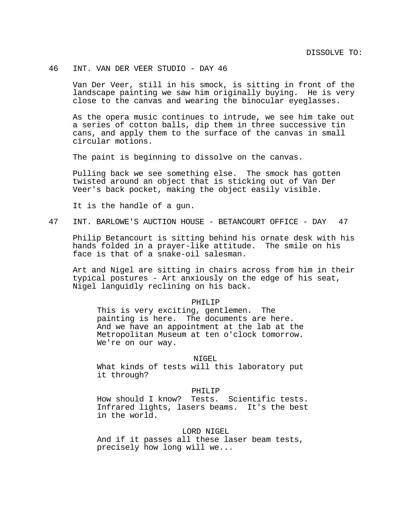# 46 INT. VAN DER VEER STUDIO - DAY 46

Van Der Veer, still in his smock, is sitting in front of the landscape painting we saw him originally buying. He is very close to the canvas and wearing the binocular eyeglasses.

As the opera music continues to intrude, we see him take out a series of cotton balls, dip them in three successive tin cans, and apply them to the surface of the canvas in small circular motions.

The paint is beginning to dissolve on the canvas.

Pulling back we see something else. The smock has gotten twisted around an object that is sticking out of Van Der Veer's back pocket, making the object easily visible.

It is the handle of a gun.

47 INT. BARLOWE'S AUCTION HOUSE - BETANCOURT OFFICE - DAY 47

Philip Betancourt is sitting behind his ornate desk with his hands folded in a prayer-like attitude. The smile on his face is that of a snake-oil salesman.

Art and Nigel are sitting in chairs across from him in their typical postures - Art anxiously on the edge of his seat, Nigel languidly reclining on his back.

## PHILIP

This is very exciting, gentlemen. The painting is here. The documents are here. And we have an appointment at the lab at the Metropolitan Museum at ten o'clock tomorrow. We're on our way.

# NIGEL

What kinds of tests will this laboratory put it through?

# PHILIP

How should I know? Tests. Scientific tests. Infrared lights, lasers beams. It's the best in the world.

# LORD NIGEL

And if it passes all these laser beam tests, precisely how long will we...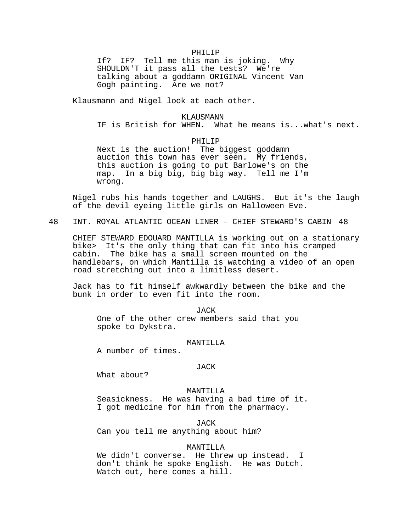#### PHILIP

If? IF? Tell me this man is joking. Why SHOULDN'T it pass all the tests? We're talking about a goddamn ORIGINAL Vincent Van Gogh painting. Are we not?

Klausmann and Nigel look at each other.

#### KLAUSMANN

IF is British for WHEN. What he means is...what's next.

### PHILIP

Next is the auction! The biggest goddamn auction this town has ever seen. My friends, this auction is going to put Barlowe's on the map. In a big big, big big way. Tell me I'm wrong.

Nigel rubs his hands together and LAUGHS. But it's the laugh of the devil eyeing little girls on Halloween Eve.

48 INT. ROYAL ATLANTIC OCEAN LINER - CHIEF STEWARD'S CABIN 48

CHIEF STEWARD EDOUARD MANTILLA is working out on a stationary bike> It's the only thing that can fit into his cramped cabin. The bike has a small screen mounted on the handlebars, on which Mantilla is watching a video of an open road stretching out into a limitless desert.

Jack has to fit himself awkwardly between the bike and the bunk in order to even fit into the room.

JACK One of the other crew members said that you spoke to Dykstra.

# MANTILLA

A number of times.

#### JACK

What about?

MANTILLA Seasickness. He was having a bad time of it. I got medicine for him from the pharmacy.

JACK Can you tell me anything about him?

# MANTILLA

We didn't converse. He threw up instead. I don't think he spoke English. He was Dutch. Watch out, here comes a hill.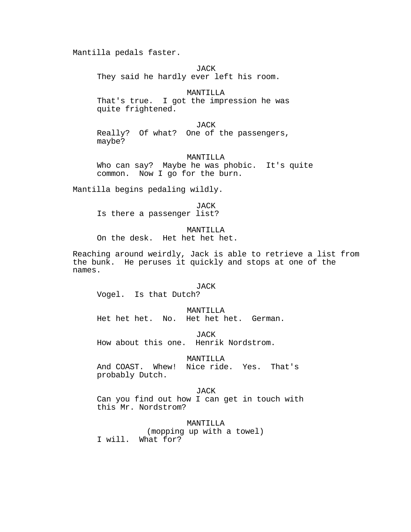Mantilla pedals faster.

JACK They said he hardly ever left his room.

MANTILLA That's true. I got the impression he was quite frightened.

JACK Really? Of what? One of the passengers, maybe?

MANTILLA Who can say? Maybe he was phobic. It's quite common. Now I go for the burn.

Mantilla begins pedaling wildly.

JACK Is there a passenger list?

MANTILLA On the desk. Het het het het.

Reaching around weirdly, Jack is able to retrieve a list from the bunk. He peruses it quickly and stops at one of the names.

#### **JACK**

Vogel. Is that Dutch?

MANTILLA

Het het het. No. Het het het. German.

JACK

How about this one. Henrik Nordstrom.

## MANTILLA

And COAST. Whew! Nice ride. Yes. That's probably Dutch.

JACK Can you find out how I can get in touch with this Mr. Nordstrom?

MANTILLA (mopping up with a towel) I will. What for?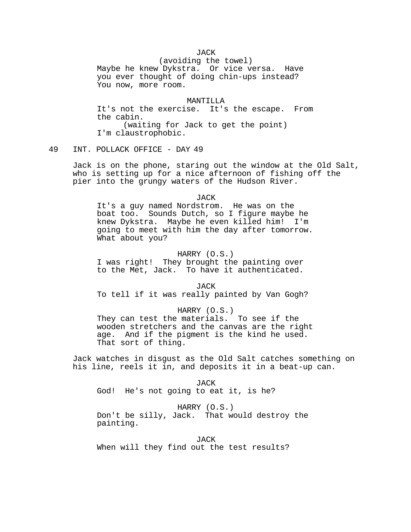**JACK** 

(avoiding the towel) Maybe he knew Dykstra. Or vice versa. Have you ever thought of doing chin-ups instead? You now, more room.

#### MANTILLA

It's not the exercise. It's the escape. From the cabin. (waiting for Jack to get the point) I'm claustrophobic.

# 49 INT. POLLACK OFFICE - DAY 49

Jack is on the phone, staring out the window at the Old Salt, who is setting up for a nice afternoon of fishing off the pier into the grungy waters of the Hudson River.

#### JACK

It's a guy named Nordstrom. He was on the boat too. Sounds Dutch, so I figure maybe he knew Dykstra. Maybe he even killed him! I'm going to meet with him the day after tomorrow. What about you?

# HARRY (O.S.)

I was right! They brought the painting over to the Met, Jack. To have it authenticated.

**JACK** 

To tell if it was really painted by Van Gogh?

# HARRY (O.S.)

They can test the materials. To see if the wooden stretchers and the canvas are the right age. And if the pigment is the kind he used. That sort of thing.

Jack watches in disgust as the Old Salt catches something on his line, reels it in, and deposits it in a beat-up can.

JACK God! He's not going to eat it, is he?

# HARRY (O.S.)

Don't be silly, Jack. That would destroy the painting.

**JACK** 

When will they find out the test results?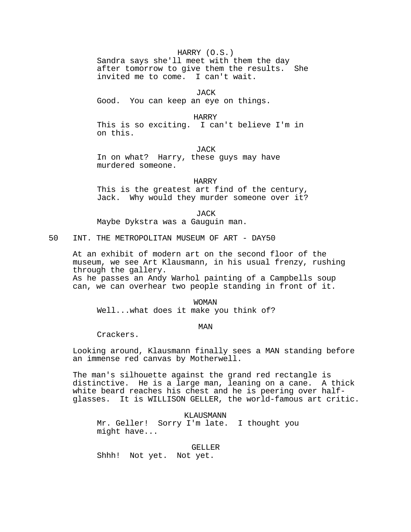# HARRY (O.S.)

Sandra says she'll meet with them the day after tomorrow to give them the results. She invited me to come. I can't wait.

JACK

Good. You can keep an eye on things.

HARRY

This is so exciting. I can't believe I'm in on this.

**JACK** 

In on what? Harry, these guys may have murdered someone.

HARRY

This is the greatest art find of the century, Jack. Why would they murder someone over it?

JACK

Maybe Dykstra was a Gauguin man.

50 INT. THE METROPOLITAN MUSEUM OF ART - DAY50

At an exhibit of modern art on the second floor of the museum, we see Art Klausmann, in his usual frenzy, rushing through the gallery. As he passes an Andy Warhol painting of a Campbells soup can, we can overhear two people standing in front of it.

WOMAN Well...what does it make you think of?

MAN

Crackers.

Looking around, Klausmann finally sees a MAN standing before an immense red canvas by Motherwell.

The man's silhouette against the grand red rectangle is distinctive. He is a large man, leaning on a cane. A thick white beard reaches his chest and he is peering over halfglasses. It is WILLISON GELLER, the world-famous art critic.

KLAUSMANN

Mr. Geller! Sorry I'm late. I thought you might have...

GELLER

Shhh! Not yet. Not yet.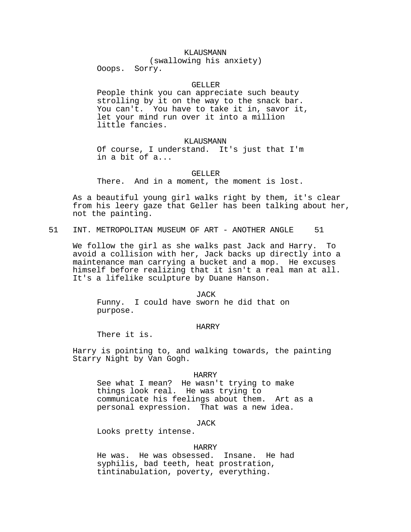# KLAUSMANN

(swallowing his anxiety)

Ooops. Sorry.

## GELLER

People think you can appreciate such beauty strolling by it on the way to the snack bar. You can't. You have to take it in, savor it, let your mind run over it into a million little fancies.

#### KLAUSMANN

Of course, I understand. It's just that I'm in a bit of a...

#### GELLER

There. And in a moment, the moment is lost.

As a beautiful young girl walks right by them, it's clear from his leery gaze that Geller has been talking about her, not the painting.

51 INT. METROPOLITAN MUSEUM OF ART - ANOTHER ANGLE 51

We follow the girl as she walks past Jack and Harry. To avoid a collision with her, Jack backs up directly into a maintenance man carrying a bucket and a mop. He excuses himself before realizing that it isn't a real man at all. It's a lifelike sculpture by Duane Hanson.

#### JACK

Funny. I could have sworn he did that on purpose.

#### HARRY

There it is.

Harry is pointing to, and walking towards, the painting Starry Night by Van Gogh.

#### HARRY

See what I mean? He wasn't trying to make things look real. He was trying to communicate his feelings about them. Art as a personal expression. That was a new idea.

JACK

Looks pretty intense.

### HARRY

He was. He was obsessed. Insane. He had syphilis, bad teeth, heat prostration, tintinabulation, poverty, everything.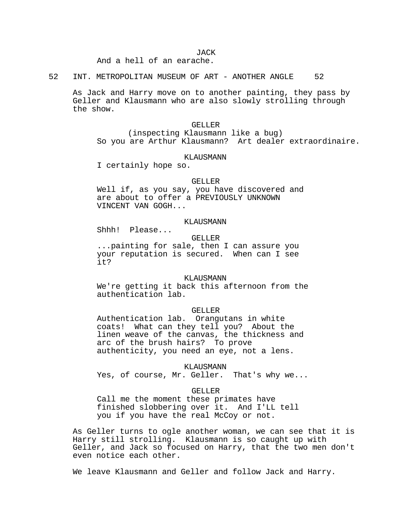And a hell of an earache.

52 INT. METROPOLITAN MUSEUM OF ART - ANOTHER ANGLE 52

As Jack and Harry move on to another painting, they pass by Geller and Klausmann who are also slowly strolling through the show.

# GELLER (inspecting Klausmann like a bug) So you are Arthur Klausmann? Art dealer extraordinaire.

#### KLAUSMANN

I certainly hope so.

## GELLER

Well if, as you say, you have discovered and are about to offer a PREVIOUSLY UNKNOWN VINCENT VAN GOGH...

# KLAUSMANN

Shhh! Please...

#### GELLER

...painting for sale, then I can assure you your reputation is secured. When can I see it?

#### KLAUSMANN

We're getting it back this afternoon from the authentication lab.

# GELLER

Authentication lab. Orangutans in white coats! What can they tell you? About the linen weave of the canvas, the thickness and arc of the brush hairs? To prove authenticity, you need an eye, not a lens.

KLAUSMANN

Yes, of course, Mr. Geller. That's why we...

### GELLER

Call me the moment these primates have finished slobbering over it. And I'LL tell you if you have the real McCoy or not.

As Geller turns to ogle another woman, we can see that it is Harry still strolling. Klausmann is so caught up with Geller, and Jack so focused on Harry, that the two men don't even notice each other.

We leave Klausmann and Geller and follow Jack and Harry.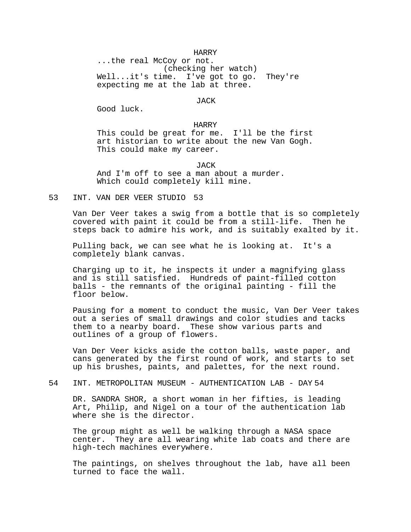### HARRY

...the real McCoy or not. (checking her watch) Well...it's time. I've got to go. They're expecting me at the lab at three.

#### JACK

Good luck.

## HARRY

This could be great for me. I'll be the first art historian to write about the new Van Gogh. This could make my career.

#### JACK

And I'm off to see a man about a murder. Which could completely kill mine.

# 53 INT. VAN DER VEER STUDIO 53

Van Der Veer takes a swig from a bottle that is so completely covered with paint it could be from a still-life. Then he covered with paint it could be from a still-life. steps back to admire his work, and is suitably exalted by it.

Pulling back, we can see what he is looking at. It's a completely blank canvas.

Charging up to it, he inspects it under a magnifying glass and is still satisfied. Hundreds of paint-filled cotton balls - the remnants of the original painting - fill the floor below.

Pausing for a moment to conduct the music, Van Der Veer takes out a series of small drawings and color studies and tacks them to a nearby board. These show various parts and outlines of a group of flowers.

Van Der Veer kicks aside the cotton balls, waste paper, and cans generated by the first round of work, and starts to set up his brushes, paints, and palettes, for the next round.

# 54 INT. METROPOLITAN MUSEUM - AUTHENTICATION LAB - DAY 54

DR. SANDRA SHOR, a short woman in her fifties, is leading Art, Philip, and Nigel on a tour of the authentication lab where she is the director.

The group might as well be walking through a NASA space center. They are all wearing white lab coats and there are high-tech machines everywhere.

The paintings, on shelves throughout the lab, have all been turned to face the wall.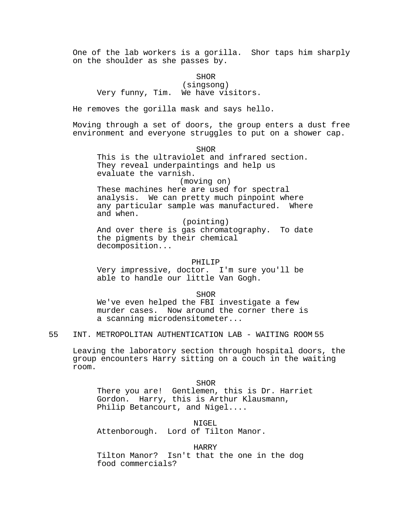One of the lab workers is a gorilla. Shor taps him sharply on the shoulder as she passes by.

# SHOR

(singsong) Very funny, Tim. We have visitors.

He removes the gorilla mask and says hello.

Moving through a set of doors, the group enters a dust free environment and everyone struggles to put on a shower cap.

**SHOR** 

This is the ultraviolet and infrared section. They reveal underpaintings and help us evaluate the varnish.

# (moving on)

These machines here are used for spectral analysis. We can pretty much pinpoint where any particular sample was manufactured. Where and when.

(pointing)

And over there is gas chromatography. To date the pigments by their chemical decomposition...

### PHILIP

Very impressive, doctor. I'm sure you'll be able to handle our little Van Gogh.

SHOR

We've even helped the FBI investigate a few murder cases. Now around the corner there is a scanning microdensitometer...

55 INT. METROPOLITAN AUTHENTICATION LAB - WAITING ROOM 55

Leaving the laboratory section through hospital doors, the group encounters Harry sitting on a couch in the waiting room.

SHOR There you are! Gentlemen, this is Dr. Harriet Gordon. Harry, this is Arthur Klausmann, Philip Betancourt, and Nigel....

NIGEL Attenborough. Lord of Tilton Manor.

HARRY

Tilton Manor? Isn't that the one in the dog food commercials?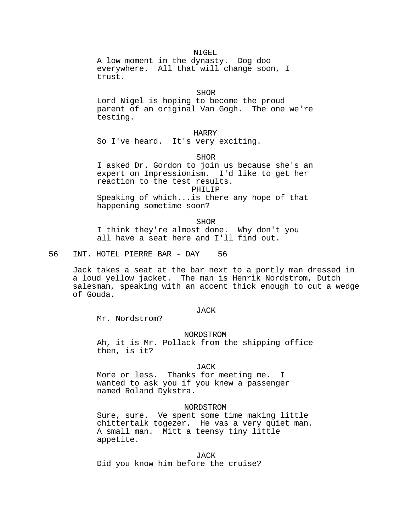NIGEL A low moment in the dynasty. Dog doo everywhere. All that will change soon, I trust.

#### SHOR

Lord Nigel is hoping to become the proud parent of an original Van Gogh. The one we're testing.

HARRY So I've heard. It's very exciting.

SHOR

I asked Dr. Gordon to join us because she's an expert on Impressionism. I'd like to get her reaction to the test results. PHILIP Speaking of which...is there any hope of that happening sometime soon?

SHOR I think they're almost done. Why don't you all have a seat here and I'll find out.

56 INT. HOTEL PIERRE BAR - DAY 56

Jack takes a seat at the bar next to a portly man dressed in a loud yellow jacket. The man is Henrik Nordstrom, Dutch salesman, speaking with an accent thick enough to cut a wedge of Gouda.

## JACK

Mr. Nordstrom?

NORDSTROM

Ah, it is Mr. Pollack from the shipping office then, is it?

#### JACK

More or less. Thanks for meeting me. I wanted to ask you if you knew a passenger named Roland Dykstra.

#### NORDSTROM

Sure, sure. Ve spent some time making little chittertalk togezer. He vas a very quiet man. A small man. Mitt a teensy tiny little appetite.

**JACK** Did you know him before the cruise?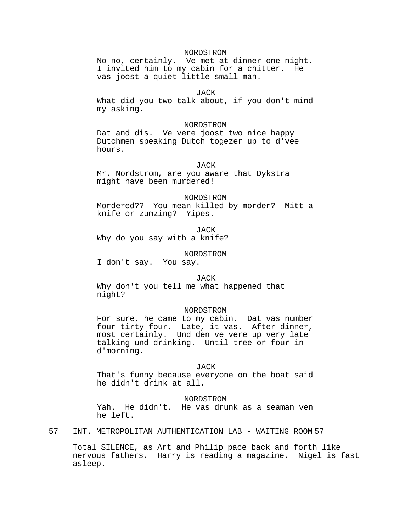# NORDSTROM

No no, certainly. Ve met at dinner one night. I invited him to my cabin for a chitter. He vas joost a quiet little small man.

# JACK

What did you two talk about, if you don't mind my asking.

## NORDSTROM

Dat and dis. Ve vere joost two nice happy Dutchmen speaking Dutch togezer up to d'vee hours.

## **JACK**

Mr. Nordstrom, are you aware that Dykstra might have been murdered!

#### NORDSTROM

Mordered?? You mean killed by morder? Mitt a knife or zumzing? Yipes.

JACK

Why do you say with a knife?

### NORDSTROM

I don't say. You say.

#### JACK

Why don't you tell me what happened that night?

## NORDSTROM

For sure, he came to my cabin. Dat vas number four-tirty-four. Late, it vas. After dinner, most certainly. Und den ve vere up very late talking und drinking. Until tree or four in d'morning.

#### JACK

That's funny because everyone on the boat said he didn't drink at all.

### NORDSTROM

Yah. He didn't. He vas drunk as a seaman ven he left.

57 INT. METROPOLITAN AUTHENTICATION LAB - WAITING ROOM 57

Total SILENCE, as Art and Philip pace back and forth like nervous fathers. Harry is reading a magazine. Nigel is fast asleep.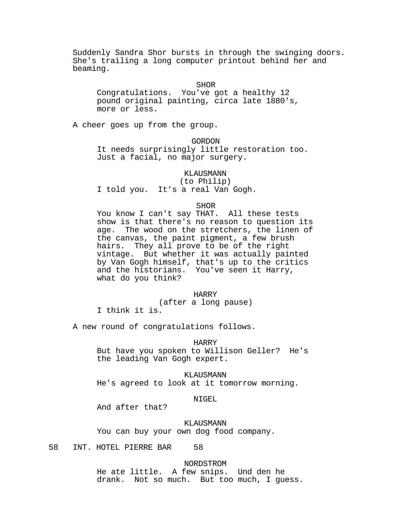Suddenly Sandra Shor bursts in through the swinging doors. She's trailing a long computer printout behind her and beaming.

SHOR

Congratulations. You've got a healthy 12 pound original painting, circa late 1880's, more or less.

A cheer goes up from the group.

GORDON

It needs surprisingly little restoration too. Just a facial, no major surgery.

KLAUSMANN

(to Philip) I told you. It's a real Van Gogh.

SHOR

You know I can't say THAT. All these tests show is that there's no reason to question its age. The wood on the stretchers, the linen of the canvas, the paint pigment, a few brush hairs. They all prove to be of the right vintage. But whether it was actually painted by Van Gogh himself, that's up to the critics and the historians. You've seen it Harry, what do you think?

# HARRY

(after a long pause)

I think it is.

A new round of congratulations follows.

HARRY

But have you spoken to Willison Geller? He's the leading Van Gogh expert.

KLAUSMANN

He's agreed to look at it tomorrow morning.

# NIGEL

And after that?

KLAUSMANN You can buy your own dog food company.

58 INT. HOTEL PIERRE BAR 58

NORDSTROM

He ate little. A few snips. Und den he drank. Not so much. But too much, I guess.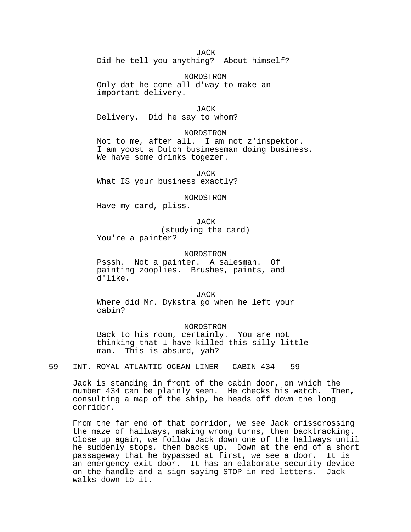## **JACK**

Did he tell you anything? About himself?

NORDSTROM

Only dat he come all d'way to make an important delivery.

JACK

Delivery. Did he say to whom?

# NORDSTROM

Not to me, after all. I am not z'inspektor. I am yoost a Dutch businessman doing business. We have some drinks togezer.

JACK What IS your business exactly?

NORDSTROM

Have my card, pliss.

JACK (studying the card) You're a painter?

### NORDSTROM

Psssh. Not a painter. A salesman. Of painting zooplies. Brushes, paints, and d'like.

JACK Where did Mr. Dykstra go when he left your cabin?

NORDSTROM Back to his room, certainly. You are not thinking that I have killed this silly little man. This is absurd, yah?

59 INT. ROYAL ATLANTIC OCEAN LINER - CABIN 434 59

Jack is standing in front of the cabin door, on which the number 434 can be plainly seen. He checks his watch. Then, consulting a map of the ship, he heads off down the long corridor.

From the far end of that corridor, we see Jack crisscrossing the maze of hallways, making wrong turns, then backtracking. Close up again, we follow Jack down one of the hallways until he suddenly stops, then backs up. Down at the end of a short passageway that he bypassed at first, we see a door. It is an emergency exit door. It has an elaborate security device on the handle and a sign saying STOP in red letters. Jack walks down to it.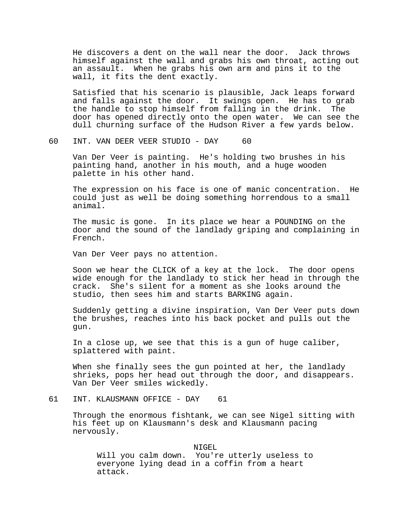He discovers a dent on the wall near the door. Jack throws himself against the wall and grabs his own throat, acting out an assault. When he grabs his own arm and pins it to the wall, it fits the dent exactly.

Satisfied that his scenario is plausible, Jack leaps forward and falls against the door. It swings open. He has to grab the handle to stop himself from falling in the drink. The door has opened directly onto the open water. We can see the dull churning surface of the Hudson River a few yards below.

60 INT. VAN DEER VEER STUDIO - DAY 60

Van Der Veer is painting. He's holding two brushes in his painting hand, another in his mouth, and a huge wooden palette in his other hand.

The expression on his face is one of manic concentration. He could just as well be doing something horrendous to a small animal.

The music is gone. In its place we hear a POUNDING on the door and the sound of the landlady griping and complaining in French.

Van Der Veer pays no attention.

Soon we hear the CLICK of a key at the lock. The door opens wide enough for the landlady to stick her head in through the crack. She's silent for a moment as she looks around the studio, then sees him and starts BARKING again.

Suddenly getting a divine inspiration, Van Der Veer puts down the brushes, reaches into his back pocket and pulls out the gun.

In a close up, we see that this is a gun of huge caliber, splattered with paint.

When she finally sees the gun pointed at her, the landlady shrieks, pops her head out through the door, and disappears. Van Der Veer smiles wickedly.

61 INT. KLAUSMANN OFFICE - DAY 61

Through the enormous fishtank, we can see Nigel sitting with his feet up on Klausmann's desk and Klausmann pacing nervously.

NIGEL Will you calm down. You're utterly useless to everyone lying dead in a coffin from a heart attack.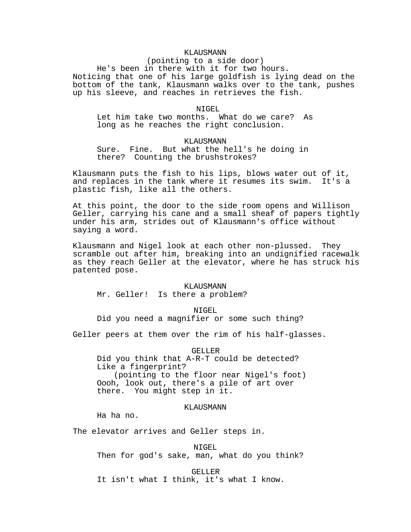# KLAUSMANN

(pointing to a side door)

He's been in there with it for two hours. Noticing that one of his large goldfish is lying dead on the bottom of the tank, Klausmann walks over to the tank, pushes up his sleeve, and reaches in retrieves the fish.

NIGEL.

Let him take two months. What do we care? As long as he reaches the right conclusion.

# KLAUSMANN

Sure. Fine. But what the hell's he doing in there? Counting the brushstrokes?

Klausmann puts the fish to his lips, blows water out of it, and replaces in the tank where it resumes its swim. It's a plastic fish, like all the others.

At this point, the door to the side room opens and Willison Geller, carrying his cane and a small sheaf of papers tightly under his arm, strides out of Klausmann's office without saying a word.

Klausmann and Nigel look at each other non-plussed. They scramble out after him, breaking into an undignified racewalk as they reach Geller at the elevator, where he has struck his patented pose.

### KLAUSMANN

Mr. Geller! Is there a problem?

NIGEL

Did you need a magnifier or some such thing?

Geller peers at them over the rim of his half-glasses.

GELLER

Did you think that A-R-T could be detected? Like a fingerprint? (pointing to the floor near Nigel's foot) Oooh, look out, there's a pile of art over there. You might step in it.

KLAUSMANN

Ha ha no.

The elevator arrives and Geller steps in.

NIGEL Then for god's sake, man, what do you think?

GELLER

It isn't what I think, it's what I know.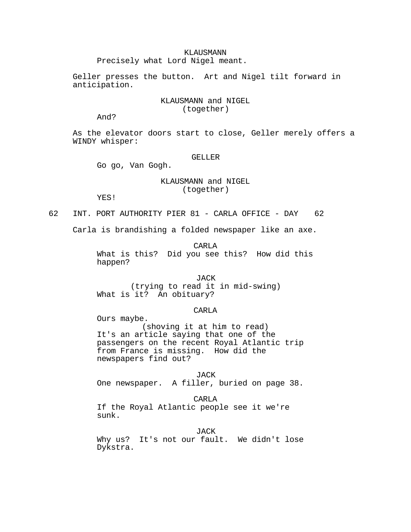# KLAUSMANN

Precisely what Lord Nigel meant.

Geller presses the button. Art and Nigel tilt forward in anticipation.

# KLAUSMANN and NIGEL (together)

And?

As the elevator doors start to close, Geller merely offers a WINDY whisper:

# GELLER

Go go, Van Gogh.

Ours maybe.

# KLAUSMANN and NIGEL (together)

YES!

62 INT. PORT AUTHORITY PIER 81 - CARLA OFFICE - DAY 62

Carla is brandishing a folded newspaper like an axe.

CARLA

What is this? Did you see this? How did this happen?

# JACK

(trying to read it in mid-swing) What is it? An obituary?

# CARLA

(shoving it at him to read) It's an article saying that one of the passengers on the recent Royal Atlantic trip from France is missing. How did the newspapers find out?

JACK One newspaper. A filler, buried on page 38.

CARLA

If the Royal Atlantic people see it we're sunk.

JACK

Why us? It's not our fault. We didn't lose Dykstra.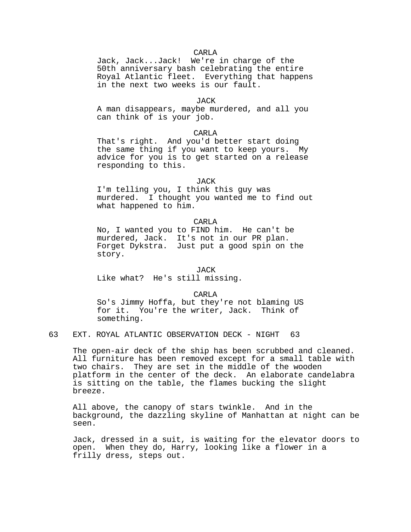## CARLA

Jack, Jack...Jack! We're in charge of the 50th anniversary bash celebrating the entire Royal Atlantic fleet. Everything that happens in the next two weeks is our fault.

## JACK

A man disappears, maybe murdered, and all you can think of is your job.

# CARLA

That's right. And you'd better start doing the same thing if you want to keep yours. My advice for you is to get started on a release responding to this.

# JACK

I'm telling you, I think this guy was murdered. I thought you wanted me to find out what happened to him.

# CARLA

No, I wanted you to FIND him. He can't be murdered, Jack. It's not in our PR plan. Forget Dykstra. Just put a good spin on the story.

JACK Like what? He's still missing.

### CARLA

So's Jimmy Hoffa, but they're not blaming US for it. You're the writer, Jack. Think of something.

# 63 EXT. ROYAL ATLANTIC OBSERVATION DECK - NIGHT 63

The open-air deck of the ship has been scrubbed and cleaned. All furniture has been removed except for a small table with two chairs. They are set in the middle of the wooden platform in the center of the deck. An elaborate candelabra is sitting on the table, the flames bucking the slight breeze.

All above, the canopy of stars twinkle. And in the background, the dazzling skyline of Manhattan at night can be seen.

Jack, dressed in a suit, is waiting for the elevator doors to open. When they do, Harry, looking like a flower in a frilly dress, steps out.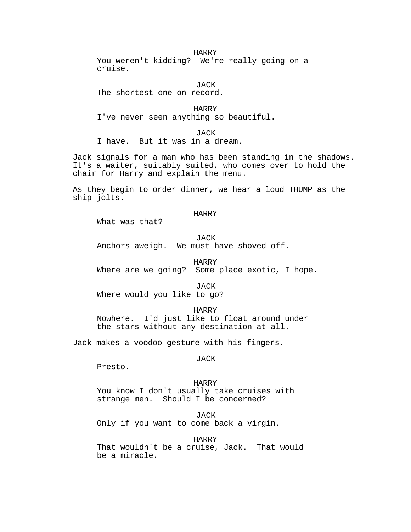### HARRY

You weren't kidding? We're really going on a cruise.

JACK

The shortest one on record.

HARRY I've never seen anything so beautiful.

JACK I have. But it was in a dream.

Jack signals for a man who has been standing in the shadows. It's a waiter, suitably suited, who comes over to hold the chair for Harry and explain the menu.

As they begin to order dinner, we hear a loud THUMP as the ship jolts.

## HARRY

What was that?

## **JACK**

Anchors aweigh. We must have shoved off.

HARRY

Where are we going? Some place exotic, I hope.

**JACK** 

Where would you like to go?

HARRY Nowhere. I'd just like to float around under the stars without any destination at all.

Jack makes a voodoo gesture with his fingers.

# JACK

Presto.

#### HARRY

You know I don't usually take cruises with strange men. Should I be concerned?

JACK

Only if you want to come back a virgin.

HARRY

That wouldn't be a cruise, Jack. That would be a miracle.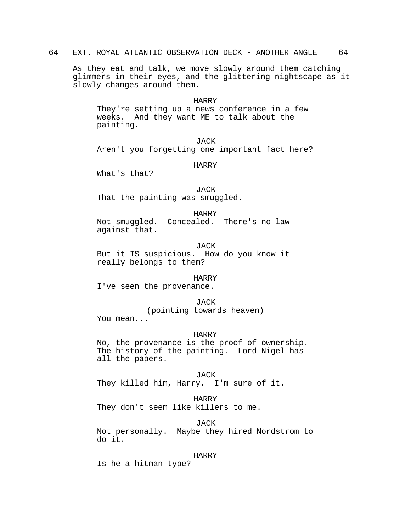As they eat and talk, we move slowly around them catching glimmers in their eyes, and the glittering nightscape as it slowly changes around them.

## HARRY

They're setting up a news conference in a few weeks. And they want ME to talk about the painting.

**JACK** Aren't you forgetting one important fact here?

# HARRY

What's that?

# JACK

That the painting was smuggled.

## HARRY

Not smuggled. Concealed. There's no law against that.

JACK But it IS suspicious. How do you know it really belongs to them?

### HARRY

I've seen the provenance.

## JACK

(pointing towards heaven) You mean...

#### HARRY

No, the provenance is the proof of ownership. The history of the painting. Lord Nigel has all the papers.

JACK

They killed him, Harry. I'm sure of it.

# HARRY

They don't seem like killers to me.

JACK Not personally. Maybe they hired Nordstrom to do it.

#### HARRY

Is he a hitman type?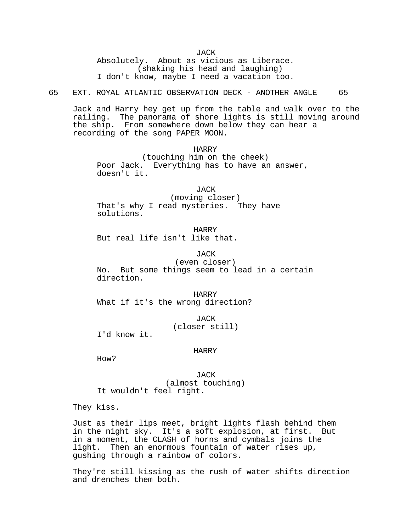**JACK** 

Absolutely. About as vicious as Liberace. (shaking his head and laughing) I don't know, maybe I need a vacation too.

65 EXT. ROYAL ATLANTIC OBSERVATION DECK - ANOTHER ANGLE 65

Jack and Harry hey get up from the table and walk over to the railing. The panorama of shore lights is still moving around the ship. From somewhere down below they can hear a recording of the song PAPER MOON.

HARRY

(touching him on the cheek) Poor Jack. Everything has to have an answer, doesn't it.

JACK (moving closer) That's why I read mysteries. They have solutions.

HARRY But real life isn't like that.

**JACK** 

(even closer) No. But some things seem to lead in a certain direction.

HARRY What if it's the wrong direction?

> JACK (closer still)

I'd know it.

## HARRY

How?

JACK (almost touching) It wouldn't feel right.

They kiss.

Just as their lips meet, bright lights flash behind them in the night sky. It's a soft explosion, at first. But in a moment, the CLASH of horns and cymbals joins the light. Then an enormous fountain of water rises up, gushing through a rainbow of colors.

They're still kissing as the rush of water shifts direction and drenches them both.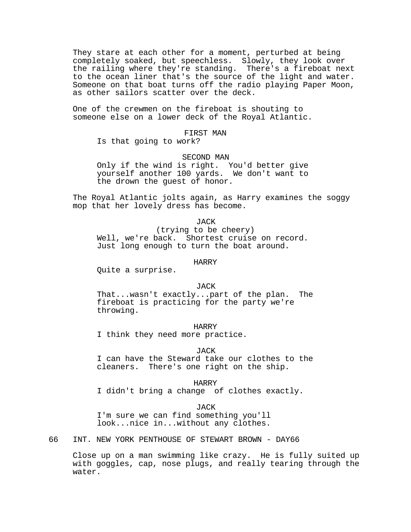They stare at each other for a moment, perturbed at being completely soaked, but speechless. Slowly, they look over the railing where they're standing. There's a fireboat next to the ocean liner that's the source of the light and water. Someone on that boat turns off the radio playing Paper Moon, as other sailors scatter over the deck.

One of the crewmen on the fireboat is shouting to someone else on a lower deck of the Royal Atlantic.

# FIRST MAN

Is that going to work?

#### SECOND MAN

Only if the wind is right. You'd better give yourself another 100 yards. We don't want to the drown the guest of honor.

The Royal Atlantic jolts again, as Harry examines the soggy mop that her lovely dress has become.

#### JACK

(trying to be cheery) Well, we're back. Shortest cruise on record. Just long enough to turn the boat around.

#### HARRY

Quite a surprise.

### **JACK**

That...wasn't exactly...part of the plan. The fireboat is practicing for the party we're throwing.

### HARRY

I think they need more practice.

## JACK

I can have the Steward take our clothes to the cleaners. There's one right on the ship.

HARRY

I didn't bring a change of clothes exactly.

#### JACK

I'm sure we can find something you'll look...nice in...without any clothes.

66 INT. NEW YORK PENTHOUSE OF STEWART BROWN - DAY66

Close up on a man swimming like crazy. He is fully suited up with goggles, cap, nose plugs, and really tearing through the water.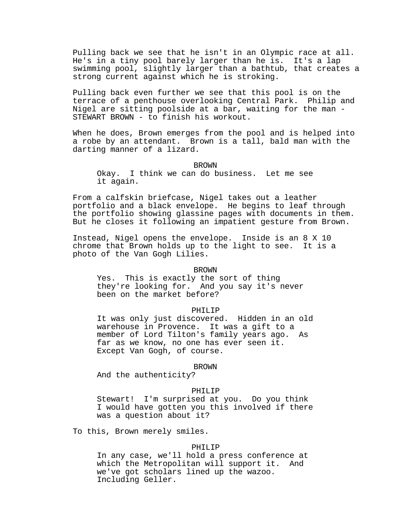Pulling back we see that he isn't in an Olympic race at all. He's in a tiny pool barely larger than he is. It's a lap swimming pool, slightly larger than a bathtub, that creates a strong current against which he is stroking.

Pulling back even further we see that this pool is on the terrace of a penthouse overlooking Central Park. Philip and Nigel are sitting poolside at a bar, waiting for the man - STEWART BROWN - to finish his workout.

When he does, Brown emerges from the pool and is helped into a robe by an attendant. Brown is a tall, bald man with the darting manner of a lizard.

### **BROWN**

Okay. I think we can do business. Let me see it again.

From a calfskin briefcase, Nigel takes out a leather portfolio and a black envelope. He begins to leaf through the portfolio showing glassine pages with documents in them. But he closes it following an impatient gesture from Brown.

Instead, Nigel opens the envelope. Inside is an 8 X 10 chrome that Brown holds up to the light to see. It is a photo of the Van Gogh Lilies.

## BROWN

Yes. This is exactly the sort of thing they're looking for. And you say it's never been on the market before?

### PHILIP

It was only just discovered. Hidden in an old warehouse in Provence. It was a gift to a member of Lord Tilton's family years ago. As far as we know, no one has ever seen it. Except Van Gogh, of course.

#### BROWN

And the authenticity?

# PHILIP

Stewart! I'm surprised at you. Do you think I would have gotten you this involved if there was a question about it?

To this, Brown merely smiles.

# PHILIP

In any case, we'll hold a press conference at which the Metropolitan will support it. And we've got scholars lined up the wazoo. Including Geller.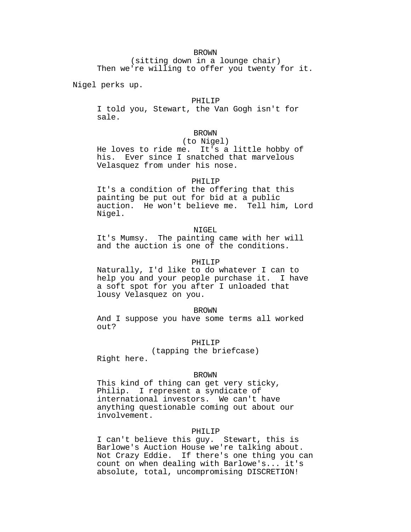# BROWN

(sitting down in a lounge chair) Then we're willing to offer you twenty for it.

Nigel perks up.

# PHILIP

I told you, Stewart, the Van Gogh isn't for sale.

# BROWN

(to Nigel) He loves to ride me. It's a little hobby of his. Ever since I snatched that marvelous Velasquez from under his nose.

### PHILIP

It's a condition of the offering that this painting be put out for bid at a public auction. He won't believe me. Tell him, Lord Nigel.

### NIGEL

It's Mumsy. The painting came with her will and the auction is one of the conditions.

## PHILIP

Naturally, I'd like to do whatever I can to help you and your people purchase it. I have a soft spot for you after I unloaded that lousy Velasquez on you.

#### BROWN

And I suppose you have some terms all worked out?

PHILIP

(tapping the briefcase)

Right here.

#### BROWN

This kind of thing can get very sticky, Philip. I represent a syndicate of international investors. We can't have anything questionable coming out about our involvement.

# PHILIP

I can't believe this guy. Stewart, this is Barlowe's Auction House we're talking about. Not Crazy Eddie. If there's one thing you can count on when dealing with Barlowe's... it's absolute, total, uncompromising DISCRETION!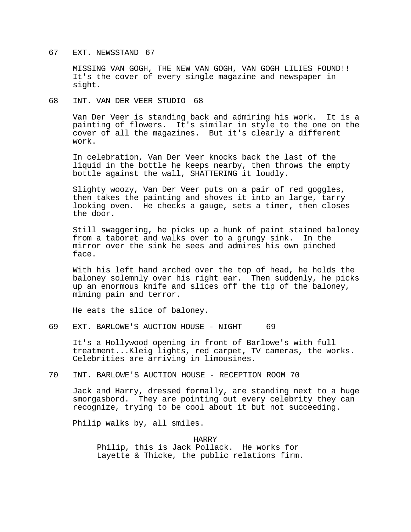## 67 EXT. NEWSSTAND 67

MISSING VAN GOGH, THE NEW VAN GOGH, VAN GOGH LILIES FOUND!! It's the cover of every single magazine and newspaper in sight.

# 68 INT. VAN DER VEER STUDIO 68

Van Der Veer is standing back and admiring his work. It is a painting of flowers. It's similar in style to the one on the cover of all the magazines. But it's clearly a different work.

In celebration, Van Der Veer knocks back the last of the liquid in the bottle he keeps nearby, then throws the empty bottle against the wall, SHATTERING it loudly.

Slighty woozy, Van Der Veer puts on a pair of red goggles, then takes the painting and shoves it into an large, tarry looking oven. He checks a gauge, sets a timer, then closes the door.

Still swaggering, he picks up a hunk of paint stained baloney from a taboret and walks over to a grungy sink. In the mirror over the sink he sees and admires his own pinched face.

With his left hand arched over the top of head, he holds the baloney solemnly over his right ear. Then suddenly, he picks up an enormous knife and slices off the tip of the baloney, miming pain and terror.

He eats the slice of baloney.

# 69 EXT. BARLOWE'S AUCTION HOUSE - NIGHT 69

It's a Hollywood opening in front of Barlowe's with full treatment...Kleig lights, red carpet, TV cameras, the works. Celebrities are arriving in limousines.

# 70 INT. BARLOWE'S AUCTION HOUSE - RECEPTION ROOM 70

Jack and Harry, dressed formally, are standing next to a huge smorgasbord. They are pointing out every celebrity they can recognize, trying to be cool about it but not succeeding.

Philip walks by, all smiles.

HARRY Philip, this is Jack Pollack. He works for Layette & Thicke, the public relations firm.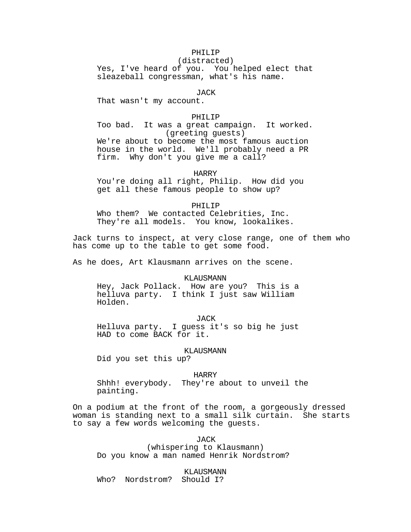# PHILIP

(distracted) Yes, I've heard of you. You helped elect that sleazeball congressman, what's his name.

JACK

That wasn't my account.

## PHILIP

Too bad. It was a great campaign. It worked. (greeting guests) We're about to become the most famous auction house in the world. We'll probably need a PR firm. Why don't you give me a call?

HARRY

You're doing all right, Philip. How did you get all these famous people to show up?

PHILIP

Who them? We contacted Celebrities, Inc. They're all models. You know, lookalikes.

Jack turns to inspect, at very close range, one of them who has come up to the table to get some food.

As he does, Art Klausmann arrives on the scene.

KLAUSMANN

Hey, Jack Pollack. How are you? This is a helluva party. I think I just saw William Holden.

JACK

Helluva party. I guess it's so big he just HAD to come BACK for it.

#### KLAUSMANN

Did you set this up?

#### HARRY

Shhh! everybody. They're about to unveil the painting.

On a podium at the front of the room, a gorgeously dressed woman is standing next to a small silk curtain. She starts to say a few words welcoming the guests.

JACK

(whispering to Klausmann) Do you know a man named Henrik Nordstrom?

KLAUSMANN Who? Nordstrom? Should I?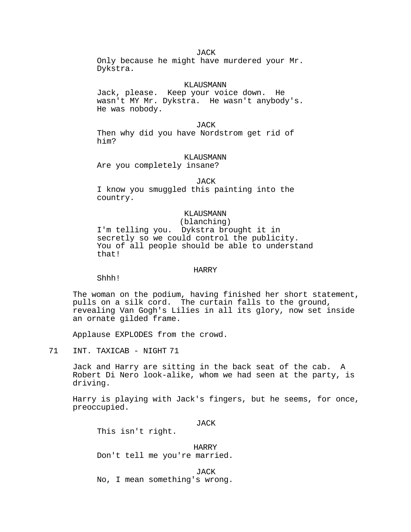**JACK** Only because he might have murdered your Mr. Dykstra.

### KLAUSMANN

Jack, please. Keep your voice down. He wasn't MY Mr. Dykstra. He wasn't anybody's. He was nobody.

JACK

Then why did you have Nordstrom get rid of him?

KLAUSMANN

Are you completely insane?

JACK

I know you smuggled this painting into the country.

# KLAUSMANN

(blanching)

I'm telling you. Dykstra brought it in secretly so we could control the publicity. You of all people should be able to understand that!

## HARRY

Shhh!

The woman on the podium, having finished her short statement, pulls on a silk cord. The curtain falls to the ground, revealing Van Gogh's Lilies in all its glory, now set inside an ornate gilded frame.

Applause EXPLODES from the crowd.

71 INT. TAXICAB - NIGHT 71

Jack and Harry are sitting in the back seat of the cab. A Robert Di Nero look-alike, whom we had seen at the party, is driving.

Harry is playing with Jack's fingers, but he seems, for once, preoccupied.

JACK

This isn't right.

HARRY Don't tell me you're married.

JACK No, I mean something's wrong.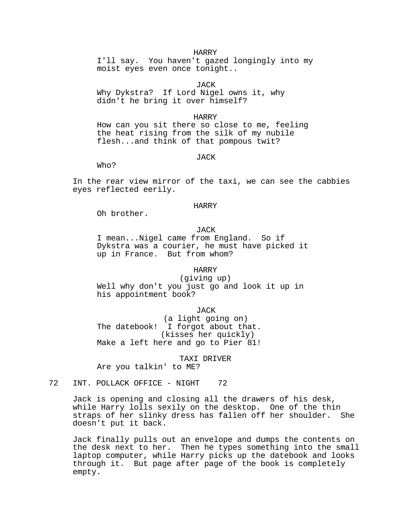# HARRY

I'll say. You haven't gazed longingly into my moist eyes even once tonight..

JACK

Why Dykstra? If Lord Nigel owns it, why didn't he bring it over himself?

#### HARRY

How can you sit there so close to me, feeling the heat rising from the silk of my nubile flesh...and think of that pompous twit?

#### JACK

Who?

In the rear view mirror of the taxi, we can see the cabbies eyes reflected eerily.

#### HARRY

Oh brother.

JACK

I mean...Nigel came from England. So if Dykstra was a courier, he must have picked it up in France. But from whom?

# HARRY

(giving up) Well why don't you just go and look it up in his appointment book?

JACK

(a light going on) The datebook! I forgot about that. (kisses her quickly) Make a left here and go to Pier 81!

TAXI DRIVER Are you talkin' to ME?

72 INT. POLLACK OFFICE - NIGHT 72

Jack is opening and closing all the drawers of his desk, while Harry lolls sexily on the desktop. One of the thin straps of her slinky dress has fallen off her shoulder. She doesn't put it back.

Jack finally pulls out an envelope and dumps the contents on the desk next to her. Then he types something into the small laptop computer, while Harry picks up the datebook and looks through it. But page after page of the book is completely empty.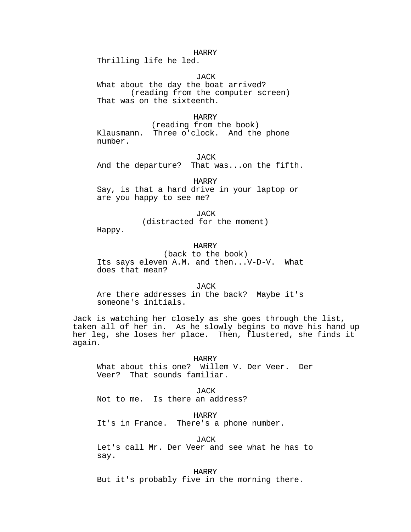### HARRY

Thrilling life he led.

**JACK** 

What about the day the boat arrived? (reading from the computer screen) That was on the sixteenth.

### HARRY

(reading from the book) Klausmann. Three o'clock. And the phone number.

JACK And the departure? That was...on the fifth.

HARRY

Say, is that a hard drive in your laptop or are you happy to see me?

> JACK (distracted for the moment)

Happy.

# HARRY

(back to the book) Its says eleven A.M. and then...V-D-V. What does that mean?

**JACK** 

Are there addresses in the back? Maybe it's someone's initials.

Jack is watching her closely as she goes through the list, taken all of her in. As he slowly begins to move his hand up her leg, she loses her place. Then, flustered, she finds it again.

HARRY

What about this one? Willem V. Der Veer. Der Veer? That sounds familiar.

JACK Not to me. Is there an address?

HARRY It's in France. There's a phone number.

JACK

Let's call Mr. Der Veer and see what he has to say.

HARRY But it's probably five in the morning there.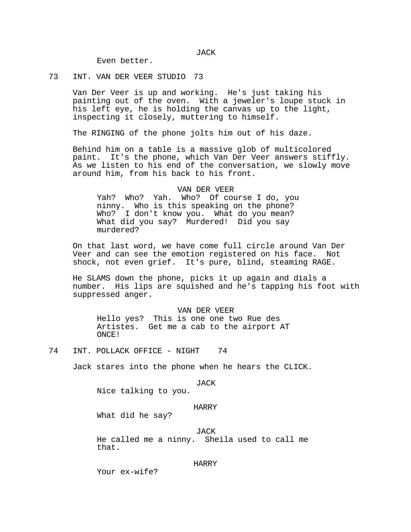JACK

Even better.

73 INT. VAN DER VEER STUDIO 73

Van Der Veer is up and working. He's just taking his painting out of the oven. With a jeweler's loupe stuck in his left eye, he is holding the canvas up to the light, inspecting it closely, muttering to himself.

The RINGING of the phone jolts him out of his daze.

Behind him on a table is a massive glob of multicolored paint. It's the phone, which Van Der Veer answers stiffly. As we listen to his end of the conversation, we slowly move around him, from his back to his front.

# VAN DER VEER

Yah? Who? Yah. Who? Of course I do, you ninny. Who is this speaking on the phone? Who? I don't know you. What do you mean? What did you say? Murdered! Did you say murdered?

On that last word, we have come full circle around Van Der Veer and can see the emotion registered on his face. Not shock, not even grief. It's pure, blind, steaming RAGE.

He SLAMS down the phone, picks it up again and dials a number. His lips are squished and he's tapping his foot with suppressed anger.

## VAN DER VEER

Hello yes? This is one one two Rue des Artistes. Get me a cab to the airport AT ONCE!

Jack stares into the phone when he hears the CLICK.

JACK

Nice talking to you.

#### HARRY

What did he say?

JACK

He called me a ninny. Sheila used to call me that.

### HARRY

Your ex-wife?

<sup>74</sup> INT. POLLACK OFFICE - NIGHT 74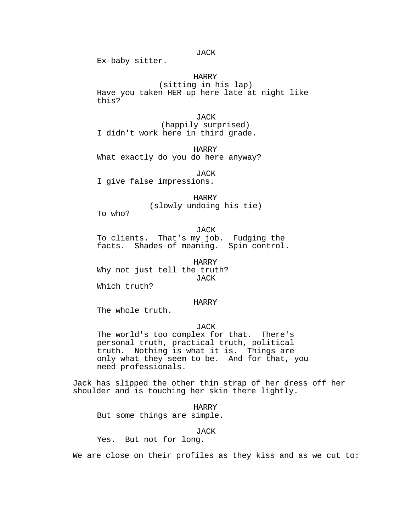# JACK

Ex-baby sitter.

# HARRY

(sitting in his lap) Have you taken HER up here late at night like this?

**JACK** 

(happily surprised) I didn't work here in third grade.

HARRY What exactly do you do here anyway?

JACK

I give false impressions.

HARRY (slowly undoing his tie)

To who?

JACK

To clients. That's my job. Fudging the facts. Shades of meaning. Spin control.

HARRY Why not just tell the truth? JACK

Which truth?

## HARRY

The whole truth.

# JACK

The world's too complex for that. There's personal truth, practical truth, political truth. Nothing is what it is. Things are only what they seem to be. And for that, you need professionals.

Jack has slipped the other thin strap of her dress off her shoulder and is touching her skin there lightly.

HARRY But some things are simple.

JACK

Yes. But not for long.

We are close on their profiles as they kiss and as we cut to: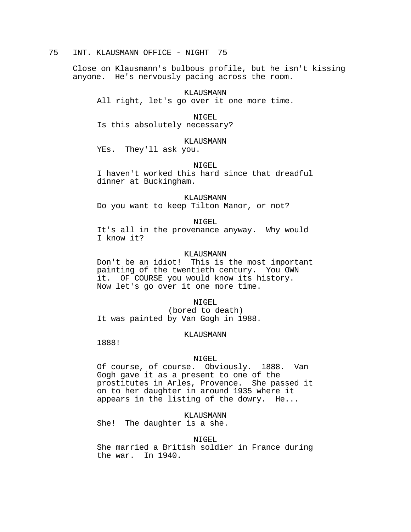# 75 INT. KLAUSMANN OFFICE - NIGHT 75

Close on Klausmann's bulbous profile, but he isn't kissing anyone. He's nervously pacing across the room.

KLAUSMANN

All right, let's go over it one more time.

NIGEL

Is this absolutely necessary?

# KLAUSMANN

YEs. They'll ask you.

# NIGEL

I haven't worked this hard since that dreadful dinner at Buckingham.

#### KLAUSMANN

Do you want to keep Tilton Manor, or not?

NIGEL

It's all in the provenance anyway. Why would I know it?

# KLAUSMANN

Don't be an idiot! This is the most important painting of the twentieth century. You OWN it. OF COURSE you would know its history. Now let's go over it one more time.

### NIGEL

(bored to death) It was painted by Van Gogh in 1988.

#### KLAUSMANN

1888!

#### NIGEL

Of course, of course. Obviously. 1888. Van Gogh gave it as a present to one of the prostitutes in Arles, Provence. She passed it on to her daughter in around 1935 where it appears in the listing of the dowry. He...

KLAUSMANN

She! The daughter is a she.

### NIGEL

She married a British soldier in France during the war. In 1940.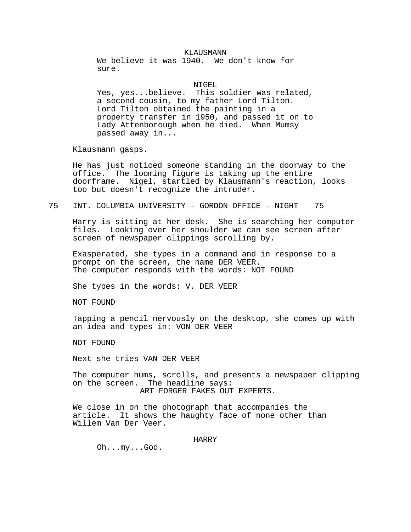# KLAUSMANN

We believe it was 1940. We don't know for sure.

NIGEL

Yes, yes...believe. This soldier was related, a second cousin, to my father Lord Tilton. Lord Tilton obtained the painting in a property transfer in 1950, and passed it on to Lady Attenborough when he died. When Mumsy passed away in...

Klausmann gasps.

He has just noticed someone standing in the doorway to the office. The looming figure is taking up the entire doorframe. Nigel, startled by Klausmann's reaction, looks too but doesn't recognize the intruder.

# 75 INT. COLUMBIA UNIVERSITY - GORDON OFFICE - NIGHT 75

Harry is sitting at her desk. She is searching her computer files. Looking over her shoulder we can see screen after screen of newspaper clippings scrolling by.

Exasperated, she types in a command and in response to a prompt on the screen, the name DER VEER. The computer responds with the words: NOT FOUND

She types in the words: V. DER VEER

NOT FOUND

Tapping a pencil nervously on the desktop, she comes up with an idea and types in: VON DER VEER

NOT FOUND

Next she tries VAN DER VEER

The computer hums, scrolls, and presents a newspaper clipping on the screen. The headline says: ART FORGER FAKES OUT EXPERTS.

We close in on the photograph that accompanies the article. It shows the haughty face of none other than Willem Van Der Veer.

### HARRY

Oh...my...God.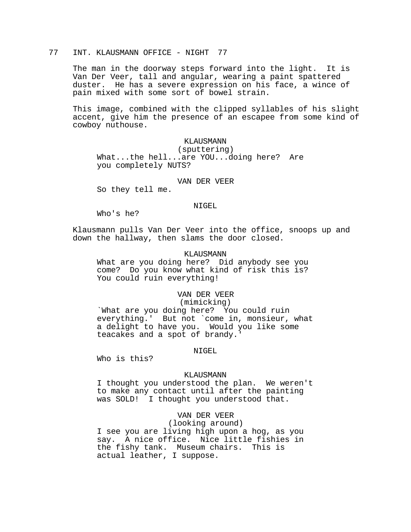# 77 INT. KLAUSMANN OFFICE - NIGHT 77

The man in the doorway steps forward into the light. It is Van Der Veer, tall and angular, wearing a paint spattered duster. He has a severe expression on his face, a wince of pain mixed with some sort of bowel strain.

This image, combined with the clipped syllables of his slight accent, give him the presence of an escapee from some kind of cowboy nuthouse.

# KLAUSMANN

(sputtering) What...the hell...are YOU...doing here? Are you completely NUTS?

## VAN DER VEER

So they tell me.

### NIGEL

Who's he?

Klausmann pulls Van Der Veer into the office, snoops up and down the hallway, then slams the door closed.

# KLAUSMANN

What are you doing here? Did anybody see you come? Do you know what kind of risk this is? You could ruin everything!

## VAN DER VEER

# (mimicking)

`What are you doing here? You could ruin everything.' But not `come in, monsieur, what a delight to have you. Would you like some teacakes and a spot of brandy.'

#### NIGEL

Who is this?

### KLAUSMANN

I thought you understood the plan. We weren't to make any contact until after the painting was SOLD! I thought you understood that.

# VAN DER VEER

(looking around)

I see you are living high upon a hog, as you say. A nice office. Nice little fishies in the fishy tank. Museum chairs. This is actual leather, I suppose.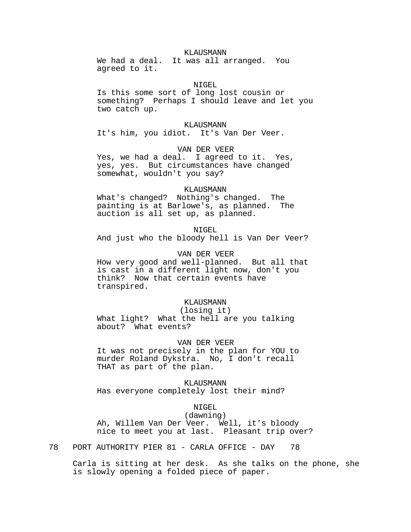# KLAUSMANN

We had a deal. It was all arranged. You agreed to it.

NIGEL

Is this some sort of long lost cousin or something? Perhaps I should leave and let you two catch up.

# KLAUSMANN

It's him, you idiot. It's Van Der Veer.

### VAN DER VEER

Yes, we had a deal. I agreed to it. Yes, yes, yes. But circumstances have changed somewhat, wouldn't you say?

# KLAUSMANN

What's changed? Nothing's changed. The painting is at Barlowe's, as planned. The auction is all set up, as planned.

#### NIGEL

And just who the bloody hell is Van Der Veer?

# VAN DER VEER

How very good and well-planned. But all that is cast in a different light now, don't you think? Now that certain events have transpired.

## KLAUSMANN

# (losing it)

What light? What the hell are you talking about? What events?

# VAN DER VEER

It was not precisely in the plan for YOU to murder Roland Dykstra. No, I don't recall THAT as part of the plan.

KLAUSMANN Has everyone completely lost their mind?

# NIGEL

(dawning) Ah, Willem Van Der Veer. Well, it's bloody nice to meet you at last. Pleasant trip over?

78 PORT AUTHORITY PIER 81 - CARLA OFFICE - DAY 78

Carla is sitting at her desk. As she talks on the phone, she is slowly opening a folded piece of paper.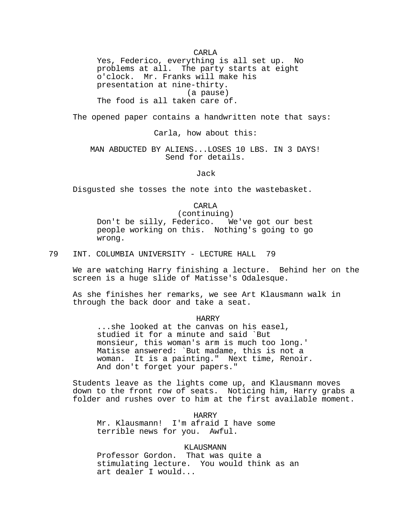CARLA

Yes, Federico, everything is all set up. No problems at all. The party starts at eight o'clock. Mr. Franks will make his presentation at nine-thirty. (a pause) The food is all taken care of.

The opened paper contains a handwritten note that says:

# Carla, how about this:

# MAN ABDUCTED BY ALIENS...LOSES 10 LBS. IN 3 DAYS! Send for details.

Jack

Disgusted she tosses the note into the wastebasket.

CARLA

(continuing) Don't be silly, Federico. We've got our best people working on this. Nothing's going to go wrong.

79 INT. COLUMBIA UNIVERSITY - LECTURE HALL 79

We are watching Harry finishing a lecture. Behind her on the screen is a huge slide of Matisse's Odalesque.

As she finishes her remarks, we see Art Klausmann walk in through the back door and take a seat.

HARRY

...she looked at the canvas on his easel, studied it for a minute and said `But monsieur, this woman's arm is much too long.' Matisse answered: `But madame, this is not a woman. It is a painting." Next time, Renoir. And don't forget your papers."

Students leave as the lights come up, and Klausmann moves down to the front row of seats. Noticing him, Harry grabs a folder and rushes over to him at the first available moment.

HARRY Mr. Klausmann! I'm afraid I have some terrible news for you. Awful.

# KLAUSMANN

Professor Gordon. That was quite a stimulating lecture. You would think as an art dealer I would...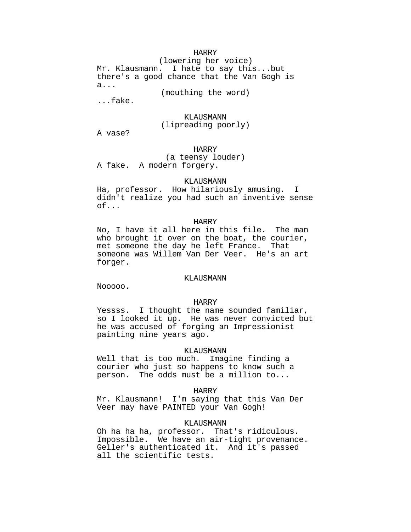## HARRY

(lowering her voice) Mr. Klausmann. I hate to say this...but there's a good chance that the Van Gogh is a...

(mouthing the word)

...fake.

### KLAUSMANN

# (lipreading poorly)

A vase?

HARRY

(a teensy louder) A fake. A modern forgery.

### KLAUSMANN

Ha, professor. How hilariously amusing. I didn't realize you had such an inventive sense of...

## HARRY

No, I have it all here in this file. The man who brought it over on the boat, the courier, met someone the day he left France. That someone was Willem Van Der Veer. He's an art forger.

#### KLAUSMANN

Nooooo.

### HARRY

Yessss. I thought the name sounded familiar, so I looked it up. He was never convicted but he was accused of forging an Impressionist painting nine years ago.

### KLAUSMANN

Well that is too much. Imagine finding a courier who just so happens to know such a person. The odds must be a million to...

## HARRY

Mr. Klausmann! I'm saying that this Van Der Veer may have PAINTED your Van Gogh!

### KLAUSMANN

Oh ha ha ha, professor. That's ridiculous. Impossible. We have an air-tight provenance. Geller's authenticated it. And it's passed all the scientific tests.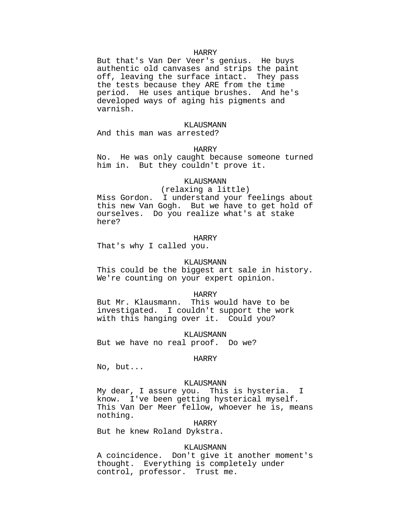#### HARRY

But that's Van Der Veer's genius. He buys authentic old canvases and strips the paint off, leaving the surface intact. They pass the tests because they ARE from the time period. He uses antique brushes. And he's developed ways of aging his pigments and varnish.

#### KLAUSMANN

And this man was arrested?

## HARRY

No. He was only caught because someone turned him in. But they couldn't prove it.

## KLAUSMANN

### (relaxing a little)

Miss Gordon. I understand your feelings about this new Van Gogh. But we have to get hold of ourselves. Do you realize what's at stake here?

### HARRY

That's why I called you.

### KLAUSMANN

This could be the biggest art sale in history. We're counting on your expert opinion.

## HARRY

But Mr. Klausmann. This would have to be investigated. I couldn't support the work with this hanging over it. Could you?

KLAUSMANN But we have no real proof. Do we?

## HARRY

No, but...

#### KLAUSMANN

My dear, I assure you. This is hysteria. I know. I've been getting hysterical myself. This Van Der Meer fellow, whoever he is, means nothing.

HARRY

But he knew Roland Dykstra.

### KLAUSMANN

A coincidence. Don't give it another moment's thought. Everything is completely under control, professor. Trust me.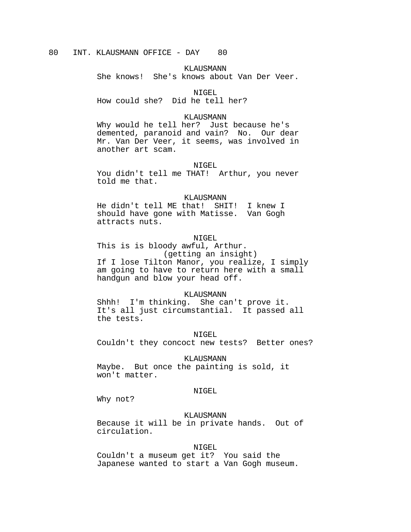KLAUSMANN

She knows! She's knows about Van Der Veer.

NIGEL

How could she? Did he tell her?

#### KLAUSMANN

Why would he tell her? Just because he's demented, paranoid and vain? No. Our dear Mr. Van Der Veer, it seems, was involved in another art scam.

### NIGEL

You didn't tell me THAT! Arthur, you never told me that.

#### KLAUSMANN

He didn't tell ME that! SHIT! I knew I should have gone with Matisse. Van Gogh attracts nuts.

## NIGEL.

This is is bloody awful, Arthur. (getting an insight) If I lose Tilton Manor, you realize, I simply am going to have to return here with a small handgun and blow your head off.

#### KLAUSMANN

Shhh! I'm thinking. She can't prove it. It's all just circumstantial. It passed all the tests.

NIGEL

Couldn't they concoct new tests? Better ones?

### KLAUSMANN

Maybe. But once the painting is sold, it won't matter.

### NIGEL

Why not?

## KLAUSMANN

Because it will be in private hands. Out of circulation.

## NIGEL

Couldn't a museum get it? You said the Japanese wanted to start a Van Gogh museum.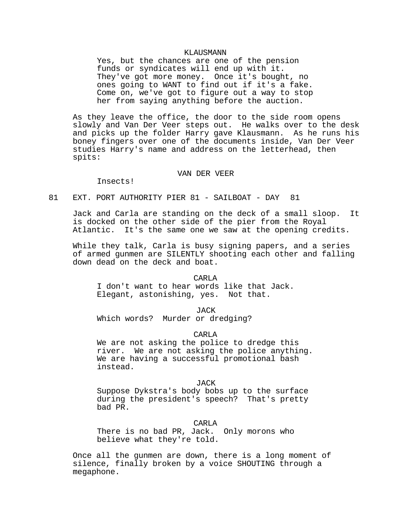#### KLAUSMANN

Yes, but the chances are one of the pension funds or syndicates will end up with it. They've got more money. Once it's bought, no ones going to WANT to find out if it's a fake. Come on, we've got to figure out a way to stop her from saying anything before the auction.

As they leave the office, the door to the side room opens slowly and Van Der Veer steps out. He walks over to the desk and picks up the folder Harry gave Klausmann. As he runs his boney fingers over one of the documents inside, Van Der Veer studies Harry's name and address on the letterhead, then spits:

### VAN DER VEER

Insects!

# 81 EXT. PORT AUTHORITY PIER 81 - SAILBOAT - DAY 81

Jack and Carla are standing on the deck of a small sloop. It is docked on the other side of the pier from the Royal Atlantic. It's the same one we saw at the opening credits.

While they talk, Carla is busy signing papers, and a series of armed gunmen are SILENTLY shooting each other and falling down dead on the deck and boat.

#### CARLA

I don't want to hear words like that Jack. Elegant, astonishing, yes. Not that.

JACK

Which words? Murder or dredging?

CARLA

We are not asking the police to dredge this river. We are not asking the police anything. We are having a successful promotional bash instead.

### JACK

Suppose Dykstra's body bobs up to the surface during the president's speech? That's pretty bad PR.

CARLA

There is no bad PR, Jack. Only morons who believe what they're told.

Once all the gunmen are down, there is a long moment of silence, finally broken by a voice SHOUTING through a megaphone.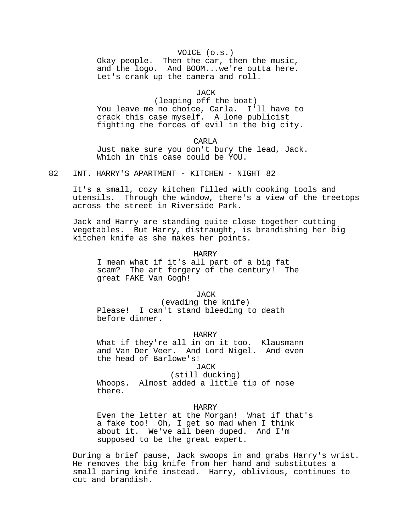## VOICE (o.s.)

Okay people. Then the car, then the music, and the logo. And BOOM...we're outta here. Let's crank up the camera and roll.

JACK

(leaping off the boat) You leave me no choice, Carla. I'll have to crack this case myself. A lone publicist fighting the forces of evil in the big city.

CARLA Just make sure you don't bury the lead, Jack. Which in this case could be YOU.

82 INT. HARRY'S APARTMENT - KITCHEN - NIGHT 82

It's a small, cozy kitchen filled with cooking tools and utensils. Through the window, there's a view of the treetops across the street in Riverside Park.

Jack and Harry are standing quite close together cutting vegetables. But Harry, distraught, is brandishing her big kitchen knife as she makes her points.

### HARRY

I mean what if it's all part of a big fat scam? The art forgery of the century! The great FAKE Van Gogh!

JACK

(evading the knife) Please! I can't stand bleeding to death before dinner.

HARRY

What if they're all in on it too. Klausmann and Van Der Veer. And Lord Nigel. And even the head of Barlowe's!

JACK

## (still ducking)

Whoops. Almost added a little tip of nose there.

## HARRY

Even the letter at the Morgan! What if that's a fake too! Oh, I get so mad when I think about it. We've all been duped. And I'm supposed to be the great expert.

During a brief pause, Jack swoops in and grabs Harry's wrist. He removes the big knife from her hand and substitutes a small paring knife instead. Harry, oblivious, continues to cut and brandish.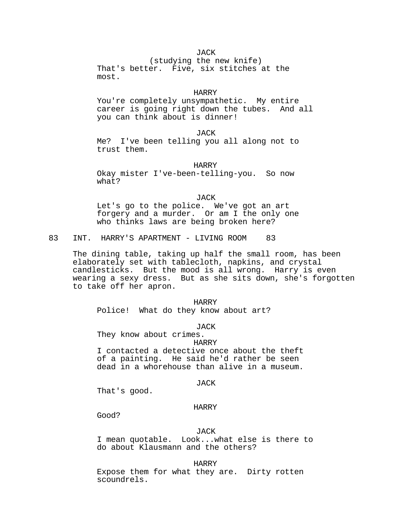# JACK

(studying the new knife) That's better. Five, six stitches at the most.

## HARRY

You're completely unsympathetic. My entire career is going right down the tubes. And all you can think about is dinner!

JACK

Me? I've been telling you all along not to trust them.

HARRY

Okay mister I've-been-telling-you. So now what?

JACK

Let's go to the police. We've got an art forgery and a murder. Or am I the only one who thinks laws are being broken here?

83 INT. HARRY'S APARTMENT - LIVING ROOM 83

The dining table, taking up half the small room, has been elaborately set with tablecloth, napkins, and crystal candlesticks. But the mood is all wrong. Harry is even wearing a sexy dress. But as she sits down, she's forgotten to take off her apron.

HARRY Police! What do they know about art?

**JACK** 

They know about crimes. HARRY I contacted a detective once about the theft of a painting. He said he'd rather be seen dead in a whorehouse than alive in a museum.

JACK

That's good.

## HARRY

Good?

## JACK

I mean quotable. Look...what else is there to do about Klausmann and the others?

HARRY

Expose them for what they are. Dirty rotten scoundrels.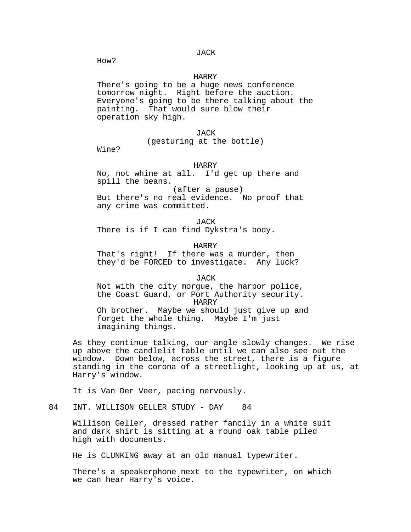JACK

How?

## HARRY

There's going to be a huge news conference tomorrow night. Right before the auction. Everyone's going to be there talking about the painting. That would sure blow their operation sky high.

JACK

# (gesturing at the bottle)

Wine?

### HARRY

No, not whine at all. I'd get up there and spill the beans.

 (after a pause) But there's no real evidence. No proof that any crime was committed.

JACK There is if I can find Dykstra's body.

HARRY That's right! If there was a murder, then they'd be FORCED to investigate. Any luck?

**JACK** Not with the city morgue, the harbor police, the Coast Guard, or Port Authority security. HARRY Oh brother. Maybe we should just give up and forget the whole thing. Maybe I'm just imagining things.

As they continue talking, our angle slowly changes. We rise up above the candlelit table until we can also see out the window. Down below, across the street, there is a figure standing in the corona of a streetlight, looking up at us, at Harry's window.

It is Van Der Veer, pacing nervously.

84 INT. WILLISON GELLER STUDY - DAY 84

Willison Geller, dressed rather fancily in a white suit and dark shirt is sitting at a round oak table piled high with documents.

He is CLUNKING away at an old manual typewriter.

There's a speakerphone next to the typewriter, on which we can hear Harry's voice.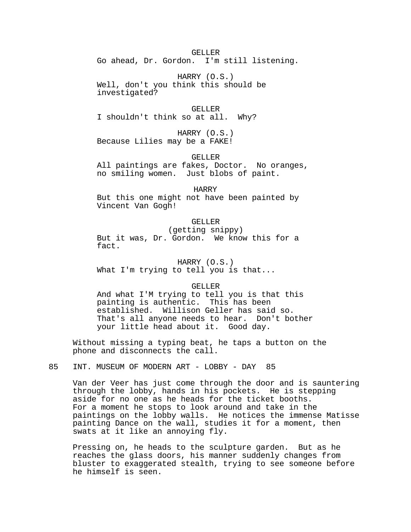GELLER Go ahead, Dr. Gordon. I'm still listening.

HARRY (O.S.) Well, don't you think this should be investigated?

GELLER I shouldn't think so at all. Why?

HARRY (O.S.) Because Lilies may be a FAKE!

GELLER

All paintings are fakes, Doctor. No oranges, no smiling women. Just blobs of paint.

HARRY

But this one might not have been painted by Vincent Van Gogh!

# GELLER

(getting snippy) But it was, Dr. Gordon. We know this for a fact.

HARRY (O.S.) What I'm trying to tell you is that...

GELLER

And what I'M trying to tell you is that this painting is authentic. This has been established. Willison Geller has said so. That's all anyone needs to hear. Don't bother your little head about it. Good day.

Without missing a typing beat, he taps a button on the phone and disconnects the call.

85 INT. MUSEUM OF MODERN ART - LOBBY - DAY 85

Van der Veer has just come through the door and is sauntering through the lobby, hands in his pockets. He is stepping aside for no one as he heads for the ticket booths. For a moment he stops to look around and take in the paintings on the lobby walls. He notices the immense Matisse painting Dance on the wall, studies it for a moment, then swats at it like an annoying fly.

Pressing on, he heads to the sculpture garden. But as he reaches the glass doors, his manner suddenly changes from bluster to exaggerated stealth, trying to see someone before he himself is seen.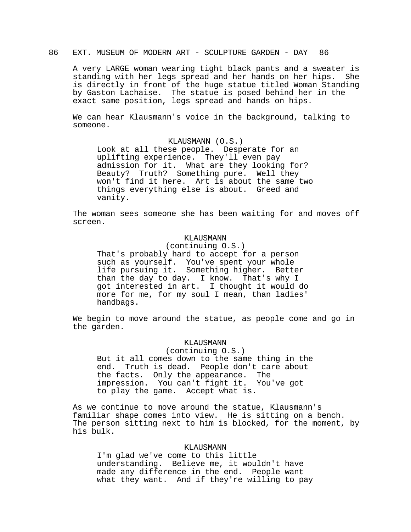# 86 EXT. MUSEUM OF MODERN ART - SCULPTURE GARDEN - DAY 86

A very LARGE woman wearing tight black pants and a sweater is standing with her legs spread and her hands on her hips. She is directly in front of the huge statue titled Woman Standing by Gaston Lachaise. The statue is posed behind her in the exact same position, legs spread and hands on hips.

We can hear Klausmann's voice in the background, talking to someone.

# KLAUSMANN (O.S.)

Look at all these people. Desperate for an uplifting experience. They'll even pay admission for it. What are they looking for? Beauty? Truth? Something pure. Well they won't find it here. Art is about the same two things everything else is about. Greed and vanity.

The woman sees someone she has been waiting for and moves off screen.

## KLAUSMANN

(continuing O.S.)

That's probably hard to accept for a person such as yourself. You've spent your whole life pursuing it. Something higher. Better than the day to day. I know. That's why I got interested in art. I thought it would do more for me, for my soul I mean, than ladies' handbags.

We begin to move around the statue, as people come and go in the garden.

## KLAUSMANN

(continuing O.S.) But it all comes down to the same thing in the end. Truth is dead. People don't care about the facts. Only the appearance. The impression. You can't fight it. You've got to play the game. Accept what is.

As we continue to move around the statue, Klausmann's familiar shape comes into view. He is sitting on a bench. The person sitting next to him is blocked, for the moment, by his bulk.

## KLAUSMANN

I'm glad we've come to this little understanding. Believe me, it wouldn't have made any difference in the end. People want what they want. And if they're willing to pay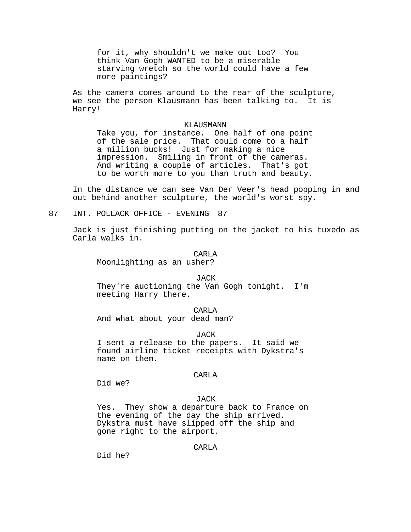for it, why shouldn't we make out too? You think Van Gogh WANTED to be a miserable starving wretch so the world could have a few more paintings?

As the camera comes around to the rear of the sculpture, we see the person Klausmann has been talking to. It is Harry!

### KLAUSMANN

Take you, for instance. One half of one point of the sale price. That could come to a half a million bucks! Just for making a nice impression. Smiling in front of the cameras. And writing a couple of articles. That's got to be worth more to you than truth and beauty.

In the distance we can see Van Der Veer's head popping in and out behind another sculpture, the world's worst spy.

87 INT. POLLACK OFFICE - EVENING 87

Jack is just finishing putting on the jacket to his tuxedo as Carla walks in.

CARLA

Moonlighting as an usher?

#### **JACK**

They're auctioning the Van Gogh tonight. I'm meeting Harry there.

CARLA And what about your dead man?

**JACK** 

I sent a release to the papers. It said we found airline ticket receipts with Dykstra's name on them.

## CARLA

Did we?

# JACK

Yes. They show a departure back to France on the evening of the day the ship arrived. Dykstra must have slipped off the ship and gone right to the airport.

CARLA

Did he?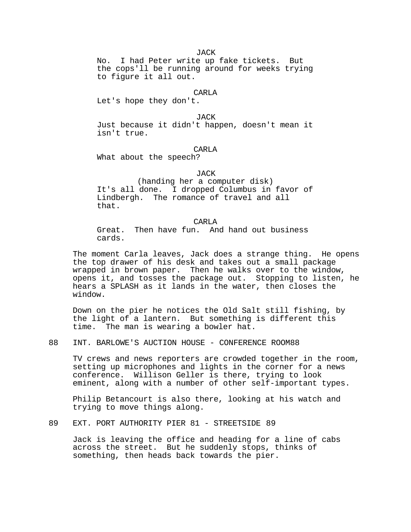No. I had Peter write up fake tickets. But the cops'll be running around for weeks trying to figure it all out.

## CARL<sub>A</sub>

Let's hope they don't.

JACK

Just because it didn't happen, doesn't mean it isn't true.

### CARL<sub>A</sub>

What about the speech?

## JACK

(handing her a computer disk) It's all done. I dropped Columbus in favor of Lindbergh. The romance of travel and all that.

#### CARLA

Great. Then have fun. And hand out business cards.

The moment Carla leaves, Jack does a strange thing. He opens the top drawer of his desk and takes out a small package wrapped in brown paper. Then he walks over to the window, opens it, and tosses the package out. Stopping to listen, he hears a SPLASH as it lands in the water, then closes the window.

Down on the pier he notices the Old Salt still fishing, by the light of a lantern. But something is different this time. The man is wearing a bowler hat.

88 INT. BARLOWE'S AUCTION HOUSE - CONFERENCE ROOM88

TV crews and news reporters are crowded together in the room, setting up microphones and lights in the corner for a news conference. Willison Geller is there, trying to look eminent, along with a number of other self-important types.

Philip Betancourt is also there, looking at his watch and trying to move things along.

## 89 EXT. PORT AUTHORITY PIER 81 - STREETSIDE 89

Jack is leaving the office and heading for a line of cabs across the street. But he suddenly stops, thinks of something, then heads back towards the pier.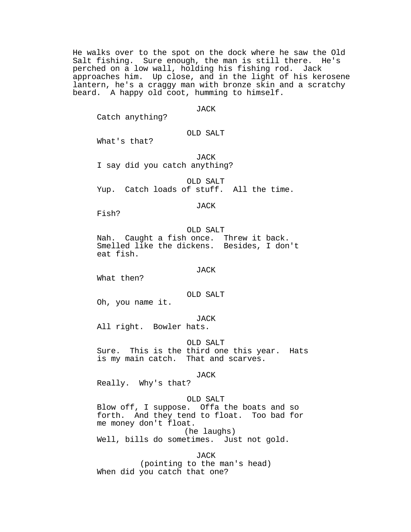He walks over to the spot on the dock where he saw the Old Salt fishing. Sure enough, the man is still there. He's perched on a low wall, holding his fishing rod. Jack approaches him. Up close, and in the light of his kerosene lantern, he's a craggy man with bronze skin and a scratchy beard. A happy old coot, humming to himself.

## JACK

Catch anything?

# OLD SALT

What's that?

JACK I say did you catch anything?

OLD SALT Yup. Catch loads of stuff. All the time.

### JACK

Fish?

### OLD SALT

Nah. Caught a fish once. Threw it back. Smelled like the dickens. Besides, I don't eat fish.

## JACK

What then?

### OLD SALT

Oh, you name it.

#### JACK

All right. Bowler hats.

## OLD SALT

Sure. This is the third one this year. Hats is my main catch. That and scarves.

#### JACK

Really. Why's that?

## OLD SALT

Blow off, I suppose. Offa the boats and so forth. And they tend to float. Too bad for me money don't float. (he laughs)

Well, bills do sometimes. Just not gold.

JACK (pointing to the man's head) When did you catch that one?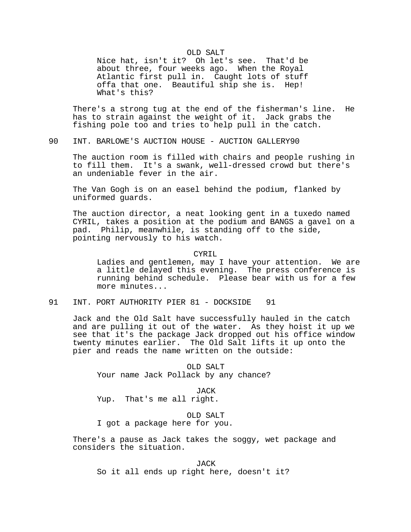### OLD SALT

Nice hat, isn't it? Oh let's see. That'd be about three, four weeks ago. When the Royal Atlantic first pull in. Caught lots of stuff offa that one. Beautiful ship she is. Hep! What's this?

There's a strong tug at the end of the fisherman's line. He has to strain against the weight of it. Jack grabs the fishing pole too and tries to help pull in the catch.

90 INT. BARLOWE'S AUCTION HOUSE - AUCTION GALLERY90

The auction room is filled with chairs and people rushing in to fill them. It's a swank, well-dressed crowd but there's an undeniable fever in the air.

The Van Gogh is on an easel behind the podium, flanked by uniformed guards.

The auction director, a neat looking gent in a tuxedo named CYRIL, takes a position at the podium and BANGS a gavel on a pad. Philip, meanwhile, is standing off to the side, pointing nervously to his watch.

### CYRIL

Ladies and gentlemen, may I have your attention. We are a little delayed this evening. The press conference is running behind schedule. Please bear with us for a few more minutes...

91 INT. PORT AUTHORITY PIER 81 - DOCKSIDE 91

Jack and the Old Salt have successfully hauled in the catch and are pulling it out of the water. As they hoist it up we see that it's the package Jack dropped out his office window twenty minutes earlier. The Old Salt lifts it up onto the pier and reads the name written on the outside:

OLD SALT Your name Jack Pollack by any chance?

JACK

Yup. That's me all right.

OLD SALT

I got a package here for you.

There's a pause as Jack takes the soggy, wet package and considers the situation.

JACK So it all ends up right here, doesn't it?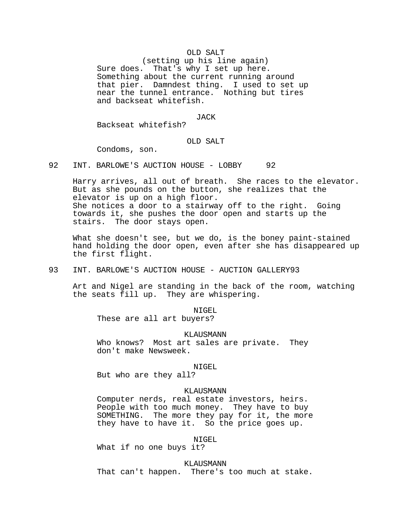## OLD SALT

(setting up his line again) Sure does. That's why I set up here. Something about the current running around that pier. Damndest thing. I used to set up near the tunnel entrance. Nothing but tires and backseat whitefish.

JACK

Backseat whitefish?

## OLD SALT

Condoms, son.

92 INT. BARLOWE'S AUCTION HOUSE - LOBBY 92

Harry arrives, all out of breath. She races to the elevator. But as she pounds on the button, she realizes that the elevator is up on a high floor. She notices a door to a stairway off to the right. Going towards it, she pushes the door open and starts up the stairs. The door stays open.

What she doesn't see, but we do, is the boney paint-stained hand holding the door open, even after she has disappeared up the first flight.

93 INT. BARLOWE'S AUCTION HOUSE - AUCTION GALLERY 93

Art and Nigel are standing in the back of the room, watching the seats fill up. They are whispering.

NIGEL

These are all art buyers?

KLAUSMANN

Who knows? Most art sales are private. They don't make Newsweek.

### NIGEL

But who are they all?

## KLAUSMANN

Computer nerds, real estate investors, heirs. People with too much money. They have to buy SOMETHING. The more they pay for it, the more they have to have it. So the price goes up.

## NIGEL

What if no one buys it?

KLAUSMANN

That can't happen. There's too much at stake.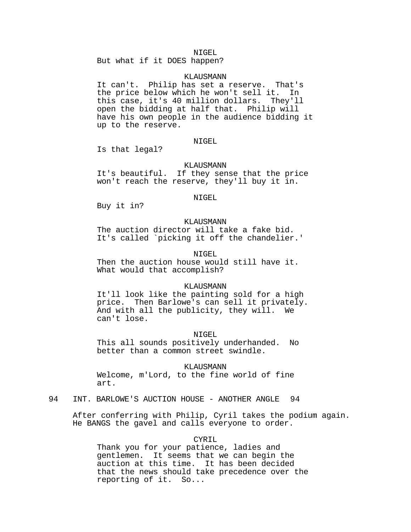#### NIGEL.

But what if it DOES happen?

## KLAUSMANN

It can't. Philip has set a reserve. That's the price below which he won't sell it. In this case, it's 40 million dollars. They'll open the bidding at half that. Philip will have his own people in the audience bidding it up to the reserve.

## NIGEL

Is that legal?

### KLAUSMANN

It's beautiful. If they sense that the price won't reach the reserve, they'll buy it in.

### NIGEL

Buy it in?

## KLAUSMANN

The auction director will take a fake bid. It's called `picking it off the chandelier.'

## NIGEL.

Then the auction house would still have it. What would that accomplish?

### KLAUSMANN

It'll look like the painting sold for a high price. Then Barlowe's can sell it privately. And with all the publicity, they will. We can't lose.

NIGEL

This all sounds positively underhanded. No better than a common street swindle.

KLAUSMANN

Welcome, m'Lord, to the fine world of fine art.

## 94 INT. BARLOWE'S AUCTION HOUSE - ANOTHER ANGLE 94

After conferring with Philip, Cyril takes the podium again. He BANGS the gavel and calls everyone to order.

CYRIL

Thank you for your patience, ladies and gentlemen. It seems that we can begin the auction at this time. It has been decided that the news should take precedence over the reporting of it. So...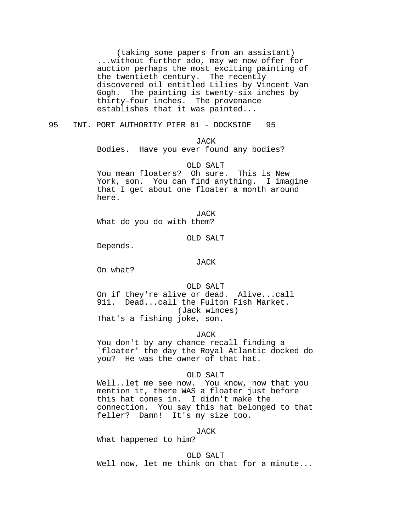(taking some papers from an assistant) ...without further ado, may we now offer for auction perhaps the most exciting painting of the twentieth century. The recently discovered oil entitled Lilies by Vincent Van Gogh. The painting is twenty-six inches by thirty-four inches. The provenance establishes that it was painted...

95 INT. PORT AUTHORITY PIER 81 - DOCKSIDE 95

JACK

Bodies. Have you ever found any bodies?

OLD SALT You mean floaters? Oh sure. This is New York, son. You can find anything. I imagine that I get about one floater a month around here.

JACK What do you do with them?

OLD SALT

Depends.

#### JACK

On what?

OLD SALT

On if they're alive or dead. Alive...call 911. Dead...call the Fulton Fish Market. (Jack winces) That's a fishing joke, son.

JACK

You don't by any chance recall finding a `floater' the day the Royal Atlantic docked do you? He was the owner of that hat.

### OLD SALT

Well..let me see now. You know, now that you mention it, there WAS a floater just before this hat comes in. I didn't make the connection. You say this hat belonged to that feller? Damn! It's my size too.

JACK

What happened to him?

OLD SALT Well now, let me think on that for a minute...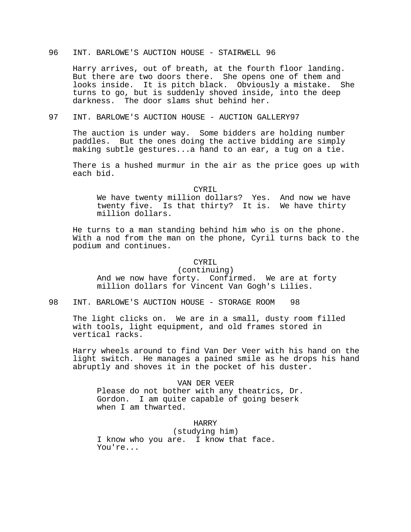# 96 INT. BARLOWE'S AUCTION HOUSE - STAIRWELL 96

Harry arrives, out of breath, at the fourth floor landing. But there are two doors there. She opens one of them and looks inside. It is pitch black. Obviously a mistake. She turns to go, but is suddenly shoved inside, into the deep darkness. The door slams shut behind her.

## 97 INT. BARLOWE'S AUCTION HOUSE - AUCTION GALLERY97

The auction is under way. Some bidders are holding number paddles. But the ones doing the active bidding are simply making subtle gestures...a hand to an ear, a tug on a tie.

There is a hushed murmur in the air as the price goes up with each bid.

#### CYRIL

We have twenty million dollars? Yes. And now we have twenty five. Is that thirty? It is. We have thirty million dollars.

He turns to a man standing behind him who is on the phone. With a nod from the man on the phone, Cyril turns back to the podium and continues.

### CYRIL

(continuing) And we now have forty. Confirmed. We are at forty million dollars for Vincent Van Gogh's Lilies.

98 INT. BARLOWE'S AUCTION HOUSE - STORAGE ROOM 98

The light clicks on. We are in a small, dusty room filled with tools, light equipment, and old frames stored in vertical racks.

Harry wheels around to find Van Der Veer with his hand on the light switch. He manages a pained smile as he drops his hand abruptly and shoves it in the pocket of his duster.

VAN DER VEER Please do not bother with any theatrics, Dr. Gordon. I am quite capable of going beserk when I am thwarted.

# HARRY

(studying him) I know who you are. I know that face. You're...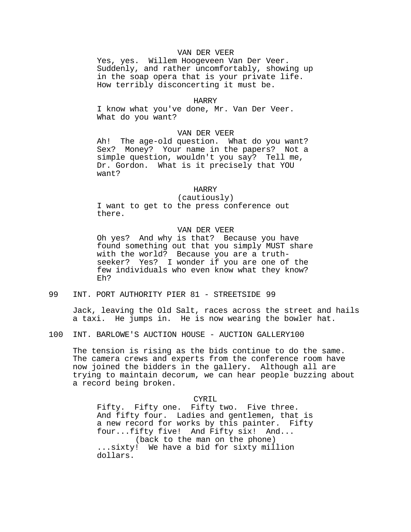## VAN DER VEER

Yes, yes. Willem Hoogeveen Van Der Veer. Suddenly, and rather uncomfortably, showing up in the soap opera that is your private life. How terribly disconcerting it must be.

### HARRY

I know what you've done, Mr. Van Der Veer. What do you want?

### VAN DER VEER

Ah! The age-old question. What do you want? Sex? Money? Your name in the papers? Not a simple question, wouldn't you say? Tell me, Dr. Gordon. What is it precisely that YOU want?

#### HARRY

(cautiously)

I want to get to the press conference out there.

# VAN DER VEER

Oh yes? And why is that? Because you have found something out that you simply MUST share with the world? Because you are a truthseeker? Yes? I wonder if you are one of the few individuals who even know what they know? Eh?

99 INT. PORT AUTHORITY PIER 81 - STREETSIDE 99

Jack, leaving the Old Salt, races across the street and hails a taxi. He jumps in. He is now wearing the bowler hat.

100 INT. BARLOWE'S AUCTION HOUSE - AUCTION GALLERY100

The tension is rising as the bids continue to do the same. The camera crews and experts from the conference room have now joined the bidders in the gallery. Although all are trying to maintain decorum, we can hear people buzzing about a record being broken.

# CYRIL

Fifty. Fifty one. Fifty two. Five three. And fifty four. Ladies and gentlemen, that is a new record for works by this painter. Fifty four...fifty five! And Fifty six! And... (back to the man on the phone) ...sixty! We have a bid for sixty million dollars.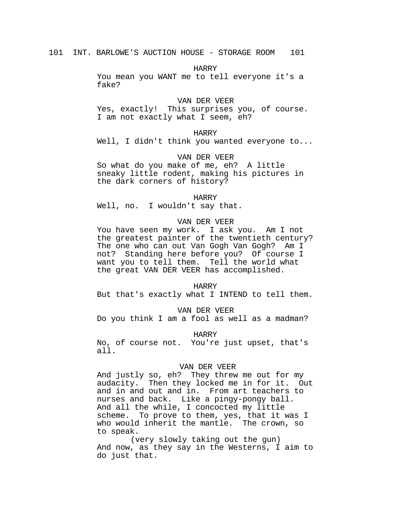HARRY

You mean you WANT me to tell everyone it's a fake?

### VAN DER VEER

Yes, exactly! This surprises you, of course. I am not exactly what I seem, eh?

## HARRY

Well, I didn't think you wanted everyone to...

## VAN DER VEER

So what do you make of me, eh? A little sneaky little rodent, making his pictures in the dark corners of history?

#### HARRY

Well, no. I wouldn't say that.

## VAN DER VEER

You have seen my work. I ask you. Am I not the greatest painter of the twentieth century? The one who can out Van Gogh Van Gogh? Am I not? Standing here before you? Of course I want you to tell them. Tell the world what the great VAN DER VEER has accomplished.

#### HARRY

But that's exactly what I INTEND to tell them.

#### VAN DER VEER

Do you think I am a fool as well as a madman?

## HARRY

No, of course not. You're just upset, that's all.

#### VAN DER VEER

And justly so, eh? They threw me out for my audacity. Then they locked me in for it. Out and in and out and in. From art teachers to nurses and back. Like a pingy-pongy ball. And all the while, I concocted my little scheme. To prove to them, yes, that it was I who would inherit the mantle. The crown, so to speak.

(very slowly taking out the gun) And now, as they say in the Westerns, I aim to do just that.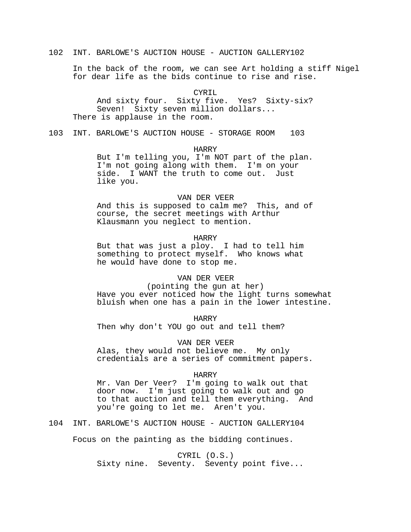102 INT. BARLOWE'S AUCTION HOUSE - AUCTION GALLERY102

In the back of the room, we can see Art holding a stiff Nigel for dear life as the bids continue to rise and rise.

## CYRTL

And sixty four. Sixty five. Yes? Sixty-six? Seven! Sixty seven million dollars... There is applause in the room.

103 INT. BARLOWE'S AUCTION HOUSE - STORAGE ROOM 103

## HARRY

But I'm telling you, I'm NOT part of the plan. I'm not going along with them. I'm on your side. I WANT the truth to come out. Just like you.

## VAN DER VEER

And this is supposed to calm me? This, and of course, the secret meetings with Arthur Klausmann you neglect to mention.

## HARRY

But that was just a ploy. I had to tell him something to protect myself. Who knows what he would have done to stop me.

#### VAN DER VEER

(pointing the gun at her)

Have you ever noticed how the light turns somewhat bluish when one has a pain in the lower intestine.

HARRY

Then why don't YOU go out and tell them?

VAN DER VEER

Alas, they would not believe me. My only credentials are a series of commitment papers.

### HARRY

Mr. Van Der Veer? I'm going to walk out that door now. I'm just going to walk out and go to that auction and tell them everything. And you're going to let me. Aren't you.

104 INT. BARLOWE'S AUCTION HOUSE - AUCTION GALLERY104

Focus on the painting as the bidding continues.

CYRIL (O.S.)

Sixty nine. Seventy. Seventy point five...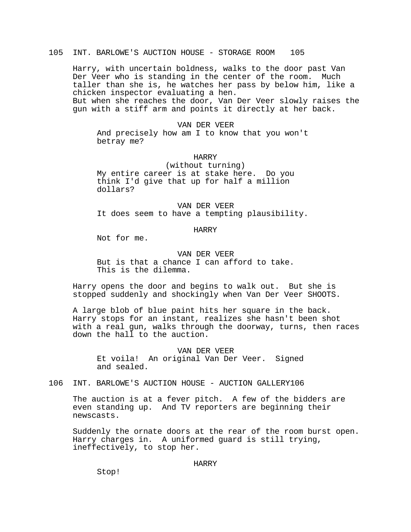# 105 INT. BARLOWE'S AUCTION HOUSE - STORAGE ROOM 105

Harry, with uncertain boldness, walks to the door past Van Der Veer who is standing in the center of the room. Much taller than she is, he watches her pass by below him, like a chicken inspector evaluating a hen. But when she reaches the door, Van Der Veer slowly raises the gun with a stiff arm and points it directly at her back.

### VAN DER VEER

And precisely how am I to know that you won't betray me?

## HARRY

(without turning) My entire career is at stake here. Do you think I'd give that up for half a million dollars?

VAN DER VEER It does seem to have a tempting plausibility.

### HARRY

Not for me.

VAN DER VEER But is that a chance I can afford to take. This is the dilemma.

Harry opens the door and begins to walk out. But she is stopped suddenly and shockingly when Van Der Veer SHOOTS.

A large blob of blue paint hits her square in the back. Harry stops for an instant, realizes she hasn't been shot with a real gun, walks through the doorway, turns, then races down the hall to the auction.

# VAN DER VEER Et voila! An original Van Der Veer. Signed and sealed.

## 106 INT. BARLOWE'S AUCTION HOUSE - AUCTION GALLERY106

The auction is at a fever pitch. A few of the bidders are even standing up. And TV reporters are beginning their newscasts.

Suddenly the ornate doors at the rear of the room burst open. Harry charges in. A uniformed guard is still trying, ineffectively, to stop her.

## HARRY

Stop!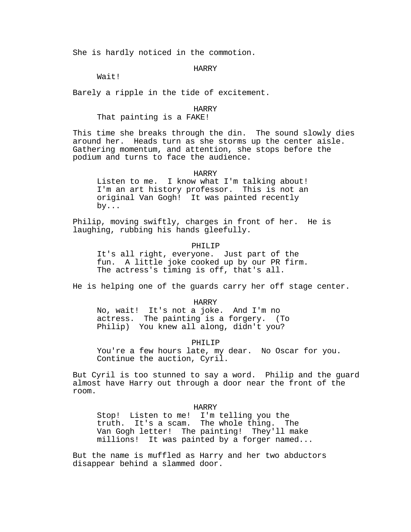She is hardly noticed in the commotion.

### HARRY

Wait!

Barely a ripple in the tide of excitement.

#### HARRY

## That painting is a FAKE!

This time she breaks through the din. The sound slowly dies around her. Heads turn as she storms up the center aisle. Gathering momentum, and attention, she stops before the podium and turns to face the audience.

### HARRY

Listen to me. I know what I'm talking about! I'm an art history professor. This is not an original Van Gogh! It was painted recently by...

Philip, moving swiftly, charges in front of her. He is laughing, rubbing his hands gleefully.

PHILIP

It's all right, everyone. Just part of the fun. A little joke cooked up by our PR firm. The actress's timing is off, that's all.

He is helping one of the guards carry her off stage center.

HARRY

No, wait! It's not a joke. And I'm no actress. The painting is a forgery. (To Philip) You knew all along, didn't you?

### PHILIP

You're a few hours late, my dear. No Oscar for you. Continue the auction, Cyril.

But Cyril is too stunned to say a word. Philip and the guard almost have Harry out through a door near the front of the room.

HARRY

Stop! Listen to me! I'm telling you the truth. It's a scam. The whole thing. The Van Gogh letter! The painting! They'll make millions! It was painted by a forger named...

But the name is muffled as Harry and her two abductors disappear behind a slammed door.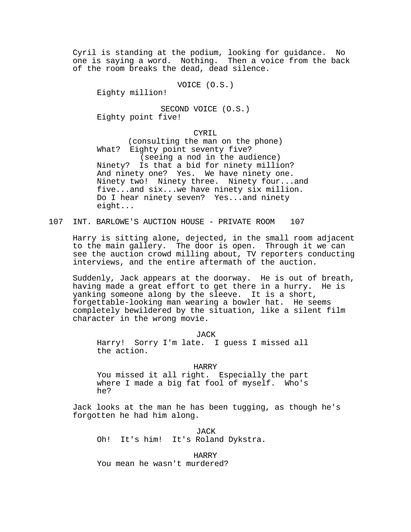Cyril is standing at the podium, looking for guidance. No one is saying a word. Nothing. Then a voice from the back of the room breaks the dead, dead silence.

VOICE (O.S.)

Eighty million!

SECOND VOICE (O.S.) Eighty point five!

## CYRIL

(consulting the man on the phone) What? Eighty point seventy five? (seeing a nod in the audience) Ninety? Is that a bid for ninety million? And ninety one? Yes. We have ninety one. Ninety two! Ninety three. Ninety four...and five...and six...we have ninety six million. Do I hear ninety seven? Yes...and ninety eight...

107 INT. BARLOWE'S AUCTION HOUSE - PRIVATE ROOM 107

Harry is sitting alone, dejected, in the small room adjacent to the main gallery. The door is open. Through it we can see the auction crowd milling about, TV reporters conducting interviews, and the entire aftermath of the auction.

Suddenly, Jack appears at the doorway. He is out of breath, having made a great effort to get there in a hurry. He is yanking someone along by the sleeve. It is a short, forgettable-looking man wearing a bowler hat. He seems completely bewildered by the situation, like a silent film character in the wrong movie.

JACK Harry! Sorry I'm late. I guess I missed all the action.

HARRY<br>ght. Especially the part You missed it all right. where I made a big fat fool of myself. Who's he?

Jack looks at the man he has been tugging, as though he's forgotten he had him along.

JACK Oh! It's him! It's Roland Dykstra.

HARRY You mean he wasn't murdered?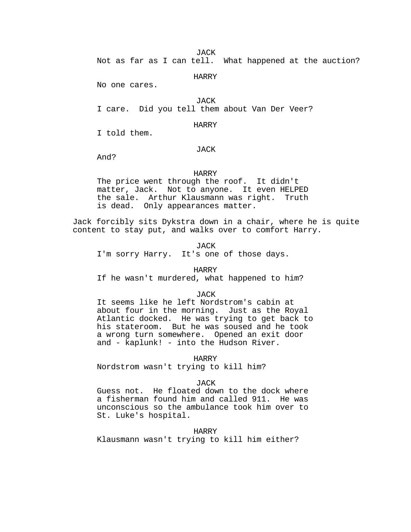**JACK** 

Not as far as I can tell. What happened at the auction?

HARRY

No one cares.

**JACK** I care. Did you tell them about Van Der Veer?

HARRY

I told them.

## JACK

And?

## HARRY

The price went through the roof. It didn't matter, Jack. Not to anyone. It even HELPED the sale. Arthur Klausmann was right. Truth is dead. Only appearances matter.

Jack forcibly sits Dykstra down in a chair, where he is quite content to stay put, and walks over to comfort Harry.

JACK I'm sorry Harry. It's one of those days.

HARRY

If he wasn't murdered, what happened to him?

### **JACK**

It seems like he left Nordstrom's cabin at about four in the morning. Just as the Royal Atlantic docked. He was trying to get back to his stateroom. But he was soused and he took a wrong turn somewhere. Opened an exit door and - kaplunk! - into the Hudson River.

HARRY

Nordstrom wasn't trying to kill him?

### **JACK**

Guess not. He floated down to the dock where a fisherman found him and called 911. He was unconscious so the ambulance took him over to St. Luke's hospital.

## HARRY

Klausmann wasn't trying to kill him either?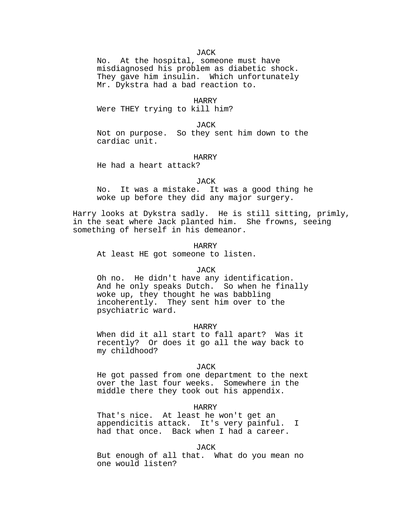**JACK** 

No. At the hospital, someone must have misdiagnosed his problem as diabetic shock. They gave him insulin. Which unfortunately Mr. Dykstra had a bad reaction to.

#### HARRY

Were THEY trying to kill him?

### JACK

Not on purpose. So they sent him down to the cardiac unit.

## HARRY

He had a heart attack?

#### JACK

No. It was a mistake. It was a good thing he woke up before they did any major surgery.

Harry looks at Dykstra sadly. He is still sitting, primly, in the seat where Jack planted him. She frowns, seeing something of herself in his demeanor.

HARRY

At least HE got someone to listen.

## JACK

Oh no. He didn't have any identification. And he only speaks Dutch. So when he finally woke up, they thought he was babbling incoherently. They sent him over to the psychiatric ward.

### HARRY

When did it all start to fall apart? Was it recently? Or does it go all the way back to my childhood?

#### JACK

He got passed from one department to the next over the last four weeks. Somewhere in the middle there they took out his appendix.

#### HARRY

That's nice. At least he won't get an appendicitis attack. It's very painful. I had that once. Back when I had a career.

# JACK

But enough of all that. What do you mean no one would listen?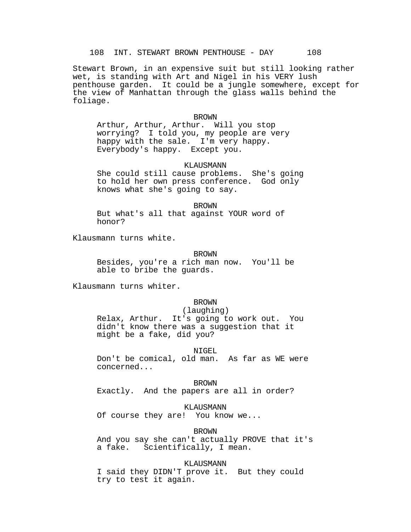Stewart Brown, in an expensive suit but still looking rather wet, is standing with Art and Nigel in his VERY lush penthouse garden. It could be a jungle somewhere, except for the view of Manhattan through the glass walls behind the foliage.

#### BROWN

Arthur, Arthur, Arthur. Will you stop worrying? I told you, my people are very happy with the sale. I'm very happy. Everybody's happy. Except you.

## KLAUSMANN

She could still cause problems. She's going to hold her own press conference. God only knows what she's going to say.

#### BROWN

But what's all that against YOUR word of honor?

Klausmann turns white.

#### BROWN

Besides, you're a rich man now. You'll be able to bribe the guards.

Klausmann turns whiter.

### BROWN

## (laughing)

Relax, Arthur. It's going to work out. You didn't know there was a suggestion that it might be a fake, did you?

#### NIGEL

Don't be comical, old man. As far as WE were concerned...

BROWN

Exactly. And the papers are all in order?

KLAUSMANN

Of course they are! You know we...

BROWN

And you say she can't actually PROVE that it's<br>a fake. Scientifically, I mean. Scientifically, I mean.

#### KLAUSMANN

I said they DIDN'T prove it. But they could try to test it again.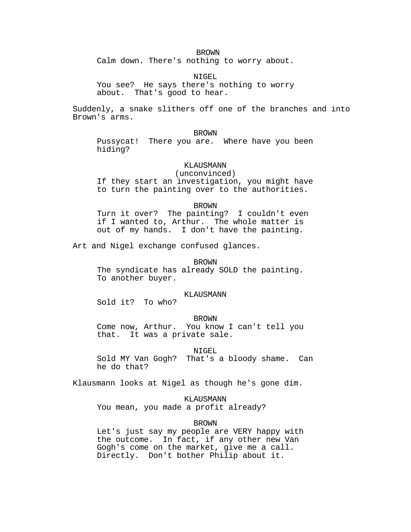BROWN

Calm down. There's nothing to worry about.

NIGEL

You see? He says there's nothing to worry about. That's good to hear.

Suddenly, a snake slithers off one of the branches and into Brown's arms.

## BROWN

Pussycat! There you are. Where have you been hiding?

## KLAUSMANN

(unconvinced) If they start an investigation, you might have to turn the painting over to the authorities.

#### BROWN

Turn it over? The painting? I couldn't even if I wanted to, Arthur. The whole matter is out of my hands. I don't have the painting.

Art and Nigel exchange confused glances.

# BROWN

The syndicate has already SOLD the painting. To another buyer.

### KLAUSMANN

Sold it? To who?

### BROWN

Come now, Arthur. You know I can't tell you that. It was a private sale.

#### NIGEL

Sold MY Van Gogh? That's a bloody shame. Can he do that?

Klausmann looks at Nigel as though he's gone dim.

## KLAUSMANN

You mean, you made a profit already?

### BROWN

Let's just say my people are VERY happy with the outcome. In fact, if any other new Van Gogh's come on the market, give me a call. Directly. Don't bother Philip about it.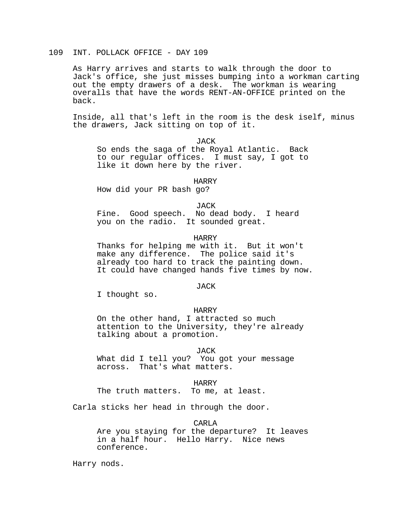# 109 INT. POLLACK OFFICE - DAY 109

As Harry arrives and starts to walk through the door to Jack's office, she just misses bumping into a workman carting out the empty drawers of a desk. The workman is wearing overalls that have the words RENT-AN-OFFICE printed on the back.

Inside, all that's left in the room is the desk iself, minus the drawers, Jack sitting on top of it.

JACK

So ends the saga of the Royal Atlantic. Back to our regular offices. I must say, I got to like it down here by the river.

HARRY

How did your PR bash go?

JACK

Fine. Good speech. No dead body. I heard you on the radio. It sounded great.

## HARRY

Thanks for helping me with it. But it won't make any difference. The police said it's already too hard to track the painting down. It could have changed hands five times by now.

**JACK** 

I thought so.

## HARRY

On the other hand, I attracted so much attention to the University, they're already talking about a promotion.

## JACK

What did I tell you? You got your message across. That's what matters.

HARRY

The truth matters. To me, at least.

Carla sticks her head in through the door.

CARLA

Are you staying for the departure? It leaves in a half hour. Hello Harry. Nice news conference.

Harry nods.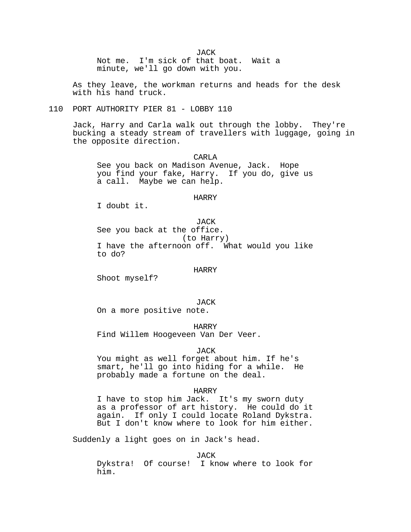**JACK** 

Not me. I'm sick of that boat. Wait a minute, we'll go down with you.

As they leave, the workman returns and heads for the desk with his hand truck.

# 110 PORT AUTHORITY PIER 81 - LOBBY 110

Jack, Harry and Carla walk out through the lobby. They're bucking a steady stream of travellers with luggage, going in the opposite direction.

CARLA See you back on Madison Avenue, Jack. Hope you find your fake, Harry. If you do, give us a call. Maybe we can help.

## HARRY

I doubt it.

JACK See you back at the office. (to Harry) I have the afternoon off. What would you like to do?

## HARRY

Shoot myself?

JACK

On a more positive note.

## HARRY

Find Willem Hoogeveen Van Der Veer.

### JACK

You might as well forget about him. If he's smart, he'll go into hiding for a while. He probably made a fortune on the deal.

### HARRY

I have to stop him Jack. It's my sworn duty as a professor of art history. He could do it again. If only I could locate Roland Dykstra. But I don't know where to look for him either.

Suddenly a light goes on in Jack's head.

**JACK** 

Dykstra! Of course! I know where to look for him.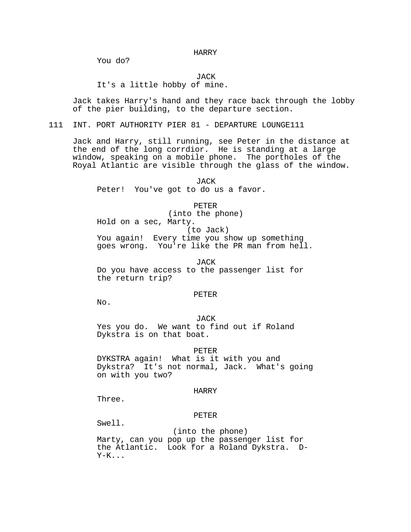HARRY

You do?

JACK

It's a little hobby of mine.

Jack takes Harry's hand and they race back through the lobby of the pier building, to the departure section.

111 INT. PORT AUTHORITY PIER 81 - DEPARTURE LOUNGE111

Jack and Harry, still running, see Peter in the distance at the end of the long corrdior. He is standing at a large window, speaking on a mobile phone. The portholes of the Royal Atlantic are visible through the glass of the window.

JACK Peter! You've got to do us a favor.

PETER

(into the phone) Hold on a sec, Marty. (to Jack) You again! Every time you show up something goes wrong. You're like the PR man from hell.

JACK Do you have access to the passenger list for the return trip?

#### PETER

No.

JACK Yes you do. We want to find out if Roland Dykstra is on that boat.

#### PETER

DYKSTRA again! What is it with you and Dykstra? It's not normal, Jack. What's going on with you two?

#### HARRY

Three.

### PETER

Swell.

 (into the phone) Marty, can you pop up the passenger list for the Atlantic. Look for a Roland Dykstra. D-Y-K...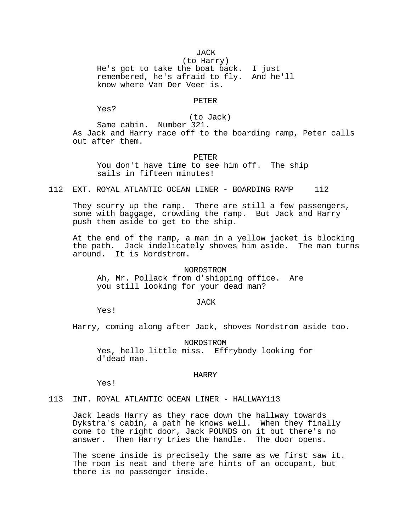**JACK** (to Harry) He's got to take the boat back. I just remembered, he's afraid to fly. And he'll know where Van Der Veer is.

PETER

Yes?

(to Jack)

Same cabin. Number 321. As Jack and Harry race off to the boarding ramp, Peter calls out after them.

# PETER You don't have time to see him off. The ship sails in fifteen minutes!

112 EXT. ROYAL ATLANTIC OCEAN LINER - BOARDING RAMP 112

They scurry up the ramp. There are still a few passengers, some with baggage, crowding the ramp. But Jack and Harry push them aside to get to the ship.

At the end of the ramp, a man in a yellow jacket is blocking the path. Jack indelicately shoves him aside. The man turns around. It is Nordstrom.

NORDSTROM Ah, Mr. Pollack from d'shipping office. Are you still looking for your dead man?

### JACK

Yes!

Harry, coming along after Jack, shoves Nordstrom aside too.

NORDSTROM Yes, hello little miss. Effrybody looking for d'dead man.

## HARRY

Yes!

113 INT. ROYAL ATLANTIC OCEAN LINER - HALLWAY113

Jack leads Harry as they race down the hallway towards Dykstra's cabin, a path he knows well. When they finally come to the right door, Jack POUNDS on it but there's no answer. Then Harry tries the handle. The door opens.

The scene inside is precisely the same as we first saw it. The room is neat and there are hints of an occupant, but there is no passenger inside.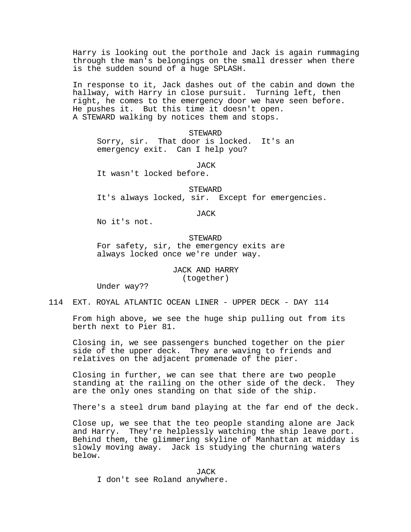Harry is looking out the porthole and Jack is again rummaging through the man's belongings on the small dresser when there is the sudden sound of a huge SPLASH.

In response to it, Jack dashes out of the cabin and down the hallway, with Harry in close pursuit. Turning left, then right, he comes to the emergency door we have seen before. He pushes it. But this time it doesn't open. A STEWARD walking by notices them and stops.

**STEWARD** 

Sorry, sir. That door is locked. It's an emergency exit. Can I help you?

**JACK** 

It wasn't locked before.

STEWARD It's always locked, sir. Except for emergencies.

JACK

No it's not.

# **STEWARD** For safety, sir, the emergency exits are always locked once we're under way.

JACK AND HARRY (together)

Under way??

114 EXT. ROYAL ATLANTIC OCEAN LINER - UPPER DECK - DAY 114

From high above, we see the huge ship pulling out from its berth next to Pier 81.

Closing in, we see passengers bunched together on the pier side of the upper deck. They are waving to friends and relatives on the adjacent promenade of the pier.

Closing in further, we can see that there are two people standing at the railing on the other side of the deck. They are the only ones standing on that side of the ship.

There's a steel drum band playing at the far end of the deck.

Close up, we see that the teo people standing alone are Jack and Harry. They're helplessly watching the ship leave port. Behind them, the glimmering skyline of Manhattan at midday is slowly moving away. Jack is studying the churning waters below.

JACK

I don't see Roland anywhere.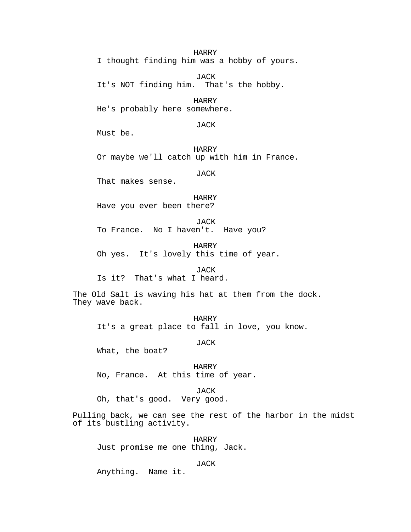HARRY

I thought finding him was a hobby of yours.

JACK It's NOT finding him. That's the hobby.

HARRY He's probably here somewhere.

JACK

Must be.

HARRY Or maybe we'll catch up with him in France.

JACK

That makes sense.

HARRY Have you ever been there?

JACK To France. No I haven't. Have you?

HARRY Oh yes. It's lovely this time of year.

**JACK** Is it? That's what I heard.

The Old Salt is waving his hat at them from the dock. They wave back.

HARRY It's a great place to fall in love, you know.

JACK

What, the boat?

HARRY No, France. At this time of year.

JACK

Oh, that's good. Very good.

Pulling back, we can see the rest of the harbor in the midst of its bustling activity.

HARRY Just promise me one thing, Jack.

JACK

Anything. Name it.